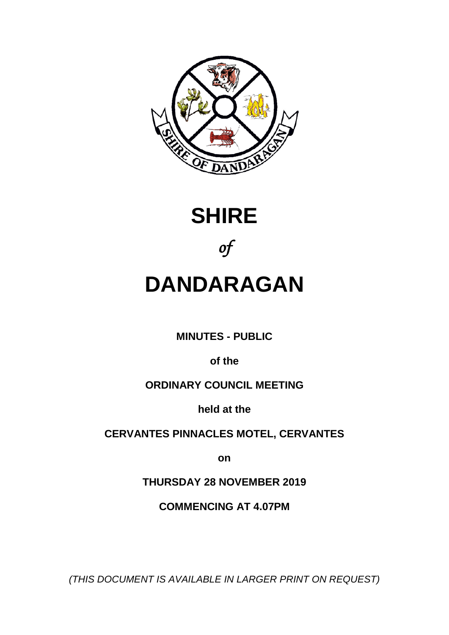





# **DANDARAGAN**

**MINUTES - PUBLIC**

**of the**

# **ORDINARY COUNCIL MEETING**

**held at the**

**CERVANTES PINNACLES MOTEL, CERVANTES** 

**on**

**THURSDAY 28 NOVEMBER 2019**

**COMMENCING AT 4.07PM**

*(THIS DOCUMENT IS AVAILABLE IN LARGER PRINT ON REQUEST)*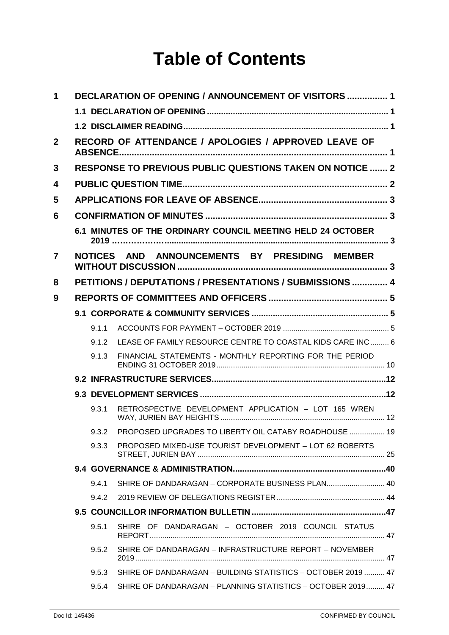# **Table of Contents**

| 1              |  |                                                      | <b>DECLARATION OF OPENING / ANNOUNCEMENT OF VISITORS  1</b>     |  |  |
|----------------|--|------------------------------------------------------|-----------------------------------------------------------------|--|--|
|                |  |                                                      |                                                                 |  |  |
|                |  |                                                      |                                                                 |  |  |
| $\mathbf{2}$   |  | RECORD OF ATTENDANCE / APOLOGIES / APPROVED LEAVE OF |                                                                 |  |  |
| 3              |  |                                                      | <b>RESPONSE TO PREVIOUS PUBLIC QUESTIONS TAKEN ON NOTICE  2</b> |  |  |
| 4              |  |                                                      |                                                                 |  |  |
| 5              |  |                                                      |                                                                 |  |  |
| 6              |  |                                                      |                                                                 |  |  |
|                |  |                                                      | 6.1 MINUTES OF THE ORDINARY COUNCIL MEETING HELD 24 OCTOBER     |  |  |
| $\overline{7}$ |  | <b>NOTICES</b>                                       | AND ANNOUNCEMENTS BY PRESIDING MEMBER                           |  |  |
| 8              |  |                                                      | PETITIONS / DEPUTATIONS / PRESENTATIONS / SUBMISSIONS  4        |  |  |
| 9              |  |                                                      |                                                                 |  |  |
|                |  |                                                      |                                                                 |  |  |
|                |  | 9.1.1                                                |                                                                 |  |  |
|                |  | 9.1.2                                                | LEASE OF FAMILY RESOURCE CENTRE TO COASTAL KIDS CARE INC  6     |  |  |
|                |  | 9.1.3                                                | FINANCIAL STATEMENTS - MONTHLY REPORTING FOR THE PERIOD         |  |  |
|                |  |                                                      |                                                                 |  |  |
|                |  |                                                      |                                                                 |  |  |
|                |  | 9.3.1                                                | RETROSPECTIVE DEVELOPMENT APPLICATION - LOT 165 WREN            |  |  |
|                |  | 9.3.2                                                | PROPOSED UPGRADES TO LIBERTY OIL CATABY ROADHOUSE  19           |  |  |
|                |  | 9.3.3                                                | PROPOSED MIXED-USE TOURIST DEVELOPMENT - LOT 62 ROBERTS         |  |  |
|                |  |                                                      |                                                                 |  |  |
|                |  | 9.4.1                                                | SHIRE OF DANDARAGAN - CORPORATE BUSINESS PLAN 40                |  |  |
|                |  | 9.4.2                                                |                                                                 |  |  |
|                |  |                                                      |                                                                 |  |  |
|                |  | 9.5.1                                                | SHIRE OF DANDARAGAN - OCTOBER 2019 COUNCIL STATUS               |  |  |
|                |  | 9.5.2                                                | SHIRE OF DANDARAGAN - INFRASTRUCTURE REPORT - NOVEMBER          |  |  |
|                |  | 9.5.3                                                | SHIRE OF DANDARAGAN - BUILDING STATISTICS - OCTOBER 2019  47    |  |  |
|                |  | 9.5.4                                                | SHIRE OF DANDARAGAN - PLANNING STATISTICS - OCTOBER 2019 47     |  |  |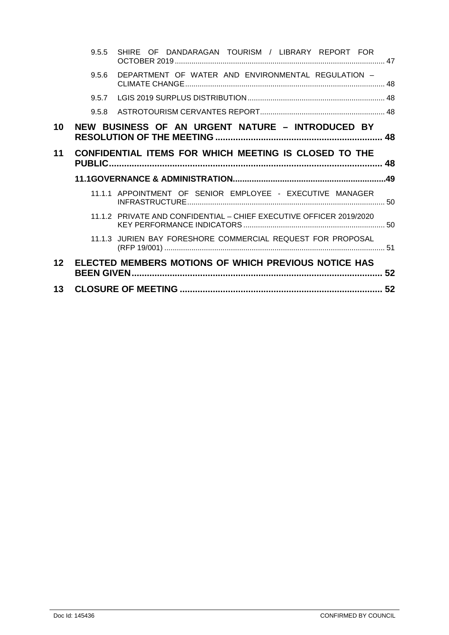|                 | 9.5.5 | SHIRE OF DANDARAGAN TOURISM / LIBRARY REPORT FOR                    |  |
|-----------------|-------|---------------------------------------------------------------------|--|
|                 | 9.5.6 | DEPARTMENT OF WATER AND ENVIRONMENTAL REGULATION -                  |  |
|                 | 957   |                                                                     |  |
|                 | 9.5.8 |                                                                     |  |
| 10              |       | NEW BUSINESS OF AN URGENT NATURE - INTRODUCED BY                    |  |
| 11              |       | CONFIDENTIAL ITEMS FOR WHICH MEETING IS CLOSED TO THE               |  |
|                 |       |                                                                     |  |
|                 |       |                                                                     |  |
|                 |       | 11.1.1 APPOINTMENT OF SENIOR EMPLOYEE - EXECUTIVE MANAGER           |  |
|                 |       | 11.1.2 PRIVATE AND CONFIDENTIAL - CHIEF EXECUTIVE OFFICER 2019/2020 |  |
|                 |       | 11.1.3 JURIEN BAY FORESHORE COMMERCIAL REQUEST FOR PROPOSAL         |  |
| 12 <sup>2</sup> |       | ELECTED MEMBERS MOTIONS OF WHICH PREVIOUS NOTICE HAS                |  |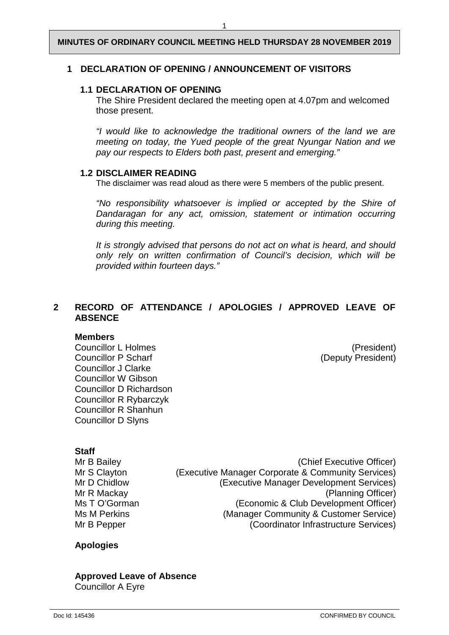#### <span id="page-3-0"></span>**1 DECLARATION OF OPENING / ANNOUNCEMENT OF VISITORS**

#### <span id="page-3-1"></span>**1.1 DECLARATION OF OPENING**

The Shire President declared the meeting open at 4.07pm and welcomed those present.

*"I would like to acknowledge the traditional owners of the land we are meeting on today, the Yued people of the great Nyungar Nation and we pay our respects to Elders both past, present and emerging."*

#### <span id="page-3-2"></span>**1.2 DISCLAIMER READING**

The disclaimer was read aloud as there were 5 members of the public present.

*"No responsibility whatsoever is implied or accepted by the Shire of Dandaragan for any act, omission, statement or intimation occurring during this meeting.*

*It is strongly advised that persons do not act on what is heard, and should only rely on written confirmation of Council's decision, which will be provided within fourteen days."*

## <span id="page-3-3"></span>**2 RECORD OF ATTENDANCE / APOLOGIES / APPROVED LEAVE OF ABSENCE**

#### **Members**

Councillor L Holmes (President) Councillor P Scharf (Deputy President) Councillor J Clarke Councillor W Gibson Councillor D Richardson Councillor R Rybarczyk Councillor R Shanhun Councillor D Slyns

#### **Staff**

Mr B Bailey (Chief Executive Officer) Mr S Clayton (Executive Manager Corporate & Community Services)<br>Mr D Chidlow (Executive Manager Development Services) (Executive Manager Development Services) Mr R Mackay (Planning Officer)<br>Ms T O'Gorman (Economic & Club Development Officer) Ms T O'Gorman (Economic & Club Development Officer)<br>
Ms M Perkins (Manager Community & Customer Service) Ms M Perkins (Manager Community & Customer Service)<br>Mr B Pepper (Coordinator Infrastructure Services) (Coordinator Infrastructure Services)

#### **Apologies**

#### **Approved Leave of Absence** Councillor A Eyre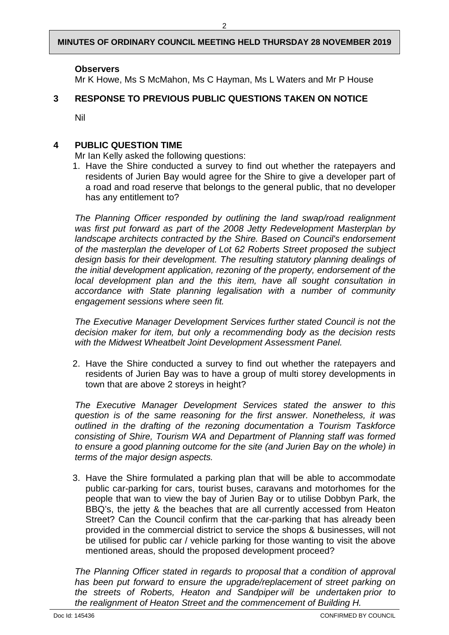$\mathfrak{p}$ 

## **Observers**

Mr K Howe, Ms S McMahon, Ms C Hayman, Ms L Waters and Mr P House

## <span id="page-4-0"></span>**3 RESPONSE TO PREVIOUS PUBLIC QUESTIONS TAKEN ON NOTICE**

Nil

## <span id="page-4-1"></span>**4 PUBLIC QUESTION TIME**

Mr Ian Kelly asked the following questions:

1. Have the Shire conducted a survey to find out whether the ratepayers and residents of Jurien Bay would agree for the Shire to give a developer part of a road and road reserve that belongs to the general public, that no developer has any entitlement to?

*The Planning Officer responded by outlining the land swap/road realignment was first put forward as part of the 2008 Jetty Redevelopment Masterplan by landscape architects contracted by the Shire. Based on Council's endorsement of the masterplan the developer of Lot 62 Roberts Street proposed the subject design basis for their development. The resulting statutory planning dealings of the initial development application, rezoning of the property, endorsement of the local development plan and the this item, have all sought consultation in accordance with State planning legalisation with a number of community engagement sessions where seen fit.*

*The Executive Manager Development Services further stated Council is not the decision maker for item, but only a recommending body as the decision rests with the Midwest Wheatbelt Joint Development Assessment Panel.*

2. Have the Shire conducted a survey to find out whether the ratepayers and residents of Jurien Bay was to have a group of multi storey developments in town that are above 2 storeys in height?

*The Executive Manager Development Services stated the answer to this question is of the same reasoning for the first answer. Nonetheless, it was outlined in the drafting of the rezoning documentation a Tourism Taskforce consisting of Shire, Tourism WA and Department of Planning staff was formed to ensure a good planning outcome for the site (and Jurien Bay on the whole) in terms of the major design aspects.*

3. Have the Shire formulated a parking plan that will be able to accommodate public car-parking for cars, tourist buses, caravans and motorhomes for the people that wan to view the bay of Jurien Bay or to utilise Dobbyn Park, the BBQ's, the jetty & the beaches that are all currently accessed from Heaton Street? Can the Council confirm that the car-parking that has already been provided in the commercial district to service the shops & businesses, will not be utilised for public car / vehicle parking for those wanting to visit the above mentioned areas, should the proposed development proceed?

*The Planning Officer stated in regards to proposal that a condition of approval has been put forward to ensure the upgrade/replacement of street parking on the streets of Roberts, Heaton and Sandpiper will be undertaken prior to the realignment of Heaton Street and the commencement of Building H.*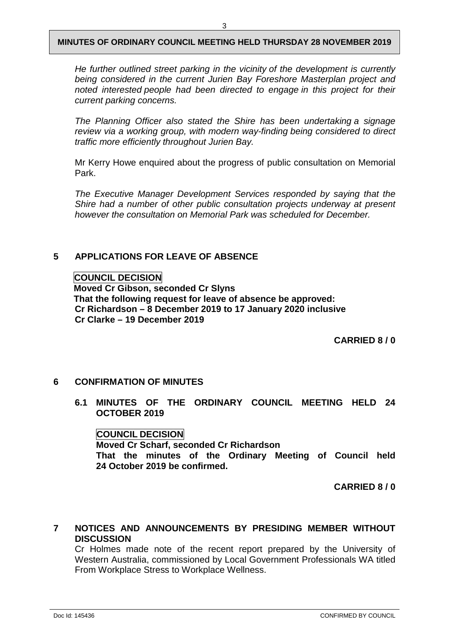*He further outlined street parking in the vicinity of the development is currently being considered in the current Jurien Bay Foreshore Masterplan project and noted interested people had been directed to engage in this project for their current parking concerns.*

*The Planning Officer also stated the Shire has been undertaking a signage review via a working group, with modern way-finding being considered to direct traffic more efficiently throughout Jurien Bay.*

Mr Kerry Howe enquired about the progress of public consultation on Memorial Park.

*The Executive Manager Development Services responded by saying that the Shire had a number of other public consultation projects underway at present however the consultation on Memorial Park was scheduled for December.* 

## <span id="page-5-0"></span>**5 APPLICATIONS FOR LEAVE OF ABSENCE**

**COUNCIL DECISION**

**Moved Cr Gibson, seconded Cr Slyns That the following request for leave of absence be approved: Cr Richardson – 8 December 2019 to 17 January 2020 inclusive Cr Clarke – 19 December 2019**

**CARRIED 8 / 0**

## <span id="page-5-2"></span><span id="page-5-1"></span>**6 CONFIRMATION OF MINUTES**

**6.1 MINUTES OF THE ORDINARY COUNCIL MEETING HELD 24 OCTOBER 2019**

#### **COUNCIL DECISION**

**Moved Cr Scharf, seconded Cr Richardson That the minutes of the Ordinary Meeting of Council held 24 October 2019 be confirmed.** 

**CARRIED 8 / 0**

## <span id="page-5-3"></span>**7 NOTICES AND ANNOUNCEMENTS BY PRESIDING MEMBER WITHOUT DISCUSSION**

<span id="page-5-4"></span>Cr Holmes made note of the recent report prepared by the University of Western Australia, commissioned by Local Government Professionals WA titled From Workplace Stress to Workplace Wellness.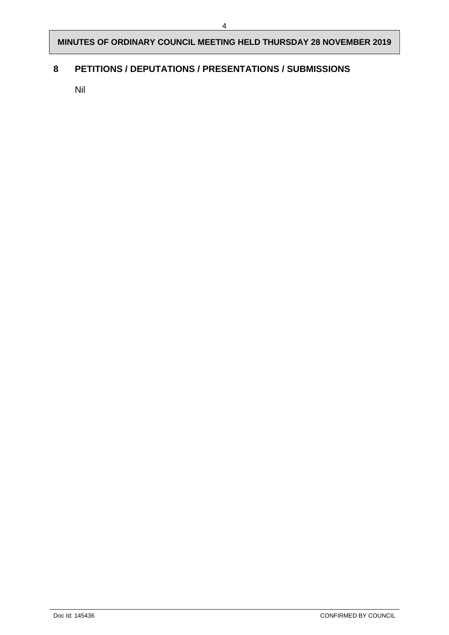## **8 PETITIONS / DEPUTATIONS / PRESENTATIONS / SUBMISSIONS**

Nil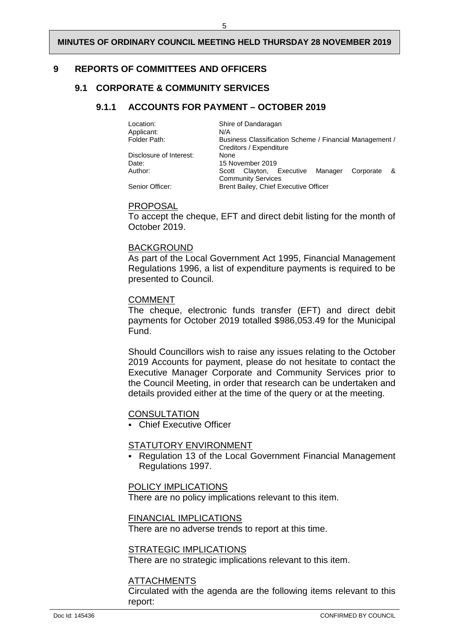#### <span id="page-7-1"></span><span id="page-7-0"></span>**9 REPORTS OF COMMITTEES AND OFFICERS**

## <span id="page-7-2"></span>**9.1 CORPORATE & COMMUNITY SERVICES**

#### **9.1.1 ACCOUNTS FOR PAYMENT – OCTOBER 2019**

| Location:<br>Applicant: | Shire of Dandaragan<br>N/A                                                         |     |  |
|-------------------------|------------------------------------------------------------------------------------|-----|--|
| Folder Path:            | Business Classification Scheme / Financial Management /<br>Creditors / Expenditure |     |  |
| Disclosure of Interest: | None                                                                               |     |  |
| Date:                   | 15 November 2019                                                                   |     |  |
| Author:                 | Scott Clayton, Executive Manager<br>Corporate                                      | - & |  |
|                         | <b>Community Services</b>                                                          |     |  |
| Senior Officer:         | Brent Bailey, Chief Executive Officer                                              |     |  |

#### PROPOSAL

To accept the cheque, EFT and direct debit listing for the month of October 2019.

#### BACKGROUND

As part of the Local Government Act 1995, Financial Management Regulations 1996, a list of expenditure payments is required to be presented to Council.

#### COMMENT

The cheque, electronic funds transfer (EFT) and direct debit payments for October 2019 totalled \$986,053.49 for the Municipal Fund.

Should Councillors wish to raise any issues relating to the October 2019 Accounts for payment, please do not hesitate to contact the Executive Manager Corporate and Community Services prior to the Council Meeting, in order that research can be undertaken and details provided either at the time of the query or at the meeting.

#### **CONSULTATION**

Chief Executive Officer

#### STATUTORY ENVIRONMENT

 Regulation 13 of the Local Government Financial Management Regulations 1997.

#### POLICY IMPLICATIONS

There are no policy implications relevant to this item.

#### FINANCIAL IMPLICATIONS

There are no adverse trends to report at this time.

#### STRATEGIC IMPLICATIONS

There are no strategic implications relevant to this item.

#### ATTACHMENTS

Circulated with the agenda are the following items relevant to this report: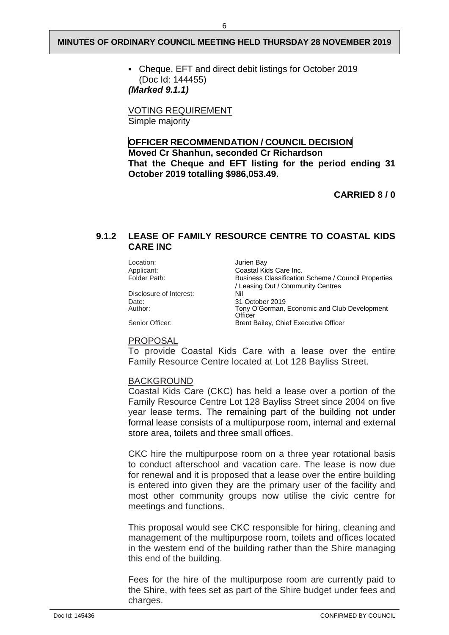Cheque, EFT and direct debit listings for October 2019 (Doc Id: 144455)

*(Marked 9.1.1)*

VOTING REQUIREMENT Simple majority

## **OFFICER RECOMMENDATION / COUNCIL DECISION**

**Moved Cr Shanhun, seconded Cr Richardson That the Cheque and EFT listing for the period ending 31 October 2019 totalling \$986,053.49.**

**CARRIED 8 / 0** 

## <span id="page-8-0"></span>**9.1.2 LEASE OF FAMILY RESOURCE CENTRE TO COASTAL KIDS CARE INC**

Location: Jurien Bay<br>Applicant: Coastal Kid

Disclosure of Interest:<br>Date: Date: 31 October 2019<br>
Author: Tony O'Gorman.

Applicant: Coastal Kids Care Inc.<br>
Folder Path: Classification<br>
Rusiness Classification Business Classification Scheme / Council Properties / Leasing Out / Community Centres Tony O'Gorman, Economic and Club Development **Officer** Senior Officer: Brent Bailey, Chief Executive Officer

#### PROPOSAL

To provide Coastal Kids Care with a lease over the entire Family Resource Centre located at Lot 128 Bayliss Street.

#### BACKGROUND

Coastal Kids Care (CKC) has held a lease over a portion of the Family Resource Centre Lot 128 Bayliss Street since 2004 on five year lease terms. The remaining part of the building not under formal lease consists of a multipurpose room, internal and external store area, toilets and three small offices.

CKC hire the multipurpose room on a three year rotational basis to conduct afterschool and vacation care. The lease is now due for renewal and it is proposed that a lease over the entire building is entered into given they are the primary user of the facility and most other community groups now utilise the civic centre for meetings and functions.

This proposal would see CKC responsible for hiring, cleaning and management of the multipurpose room, toilets and offices located in the western end of the building rather than the Shire managing this end of the building.

Fees for the hire of the multipurpose room are currently paid to the Shire, with fees set as part of the Shire budget under fees and charges.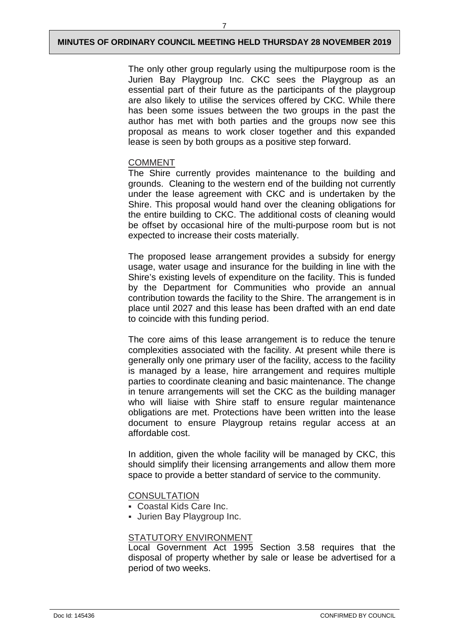7

The only other group regularly using the multipurpose room is the Jurien Bay Playgroup Inc. CKC sees the Playgroup as an essential part of their future as the participants of the playgroup are also likely to utilise the services offered by CKC. While there has been some issues between the two groups in the past the author has met with both parties and the groups now see this proposal as means to work closer together and this expanded lease is seen by both groups as a positive step forward.

## COMMENT

The Shire currently provides maintenance to the building and grounds. Cleaning to the western end of the building not currently under the lease agreement with CKC and is undertaken by the Shire. This proposal would hand over the cleaning obligations for the entire building to CKC. The additional costs of cleaning would be offset by occasional hire of the multi-purpose room but is not expected to increase their costs materially.

The proposed lease arrangement provides a subsidy for energy usage, water usage and insurance for the building in line with the Shire's existing levels of expenditure on the facility. This is funded by the Department for Communities who provide an annual contribution towards the facility to the Shire. The arrangement is in place until 2027 and this lease has been drafted with an end date to coincide with this funding period.

The core aims of this lease arrangement is to reduce the tenure complexities associated with the facility. At present while there is generally only one primary user of the facility, access to the facility is managed by a lease, hire arrangement and requires multiple parties to coordinate cleaning and basic maintenance. The change in tenure arrangements will set the CKC as the building manager who will liaise with Shire staff to ensure regular maintenance obligations are met. Protections have been written into the lease document to ensure Playgroup retains regular access at an affordable cost.

In addition, given the whole facility will be managed by CKC, this should simplify their licensing arrangements and allow them more space to provide a better standard of service to the community.

## **CONSULTATION**

- Coastal Kids Care Inc.
- Jurien Bay Playgroup Inc.

## STATUTORY ENVIRONMENT

Local Government Act 1995 Section 3.58 requires that the disposal of property whether by sale or lease be advertised for a period of two weeks.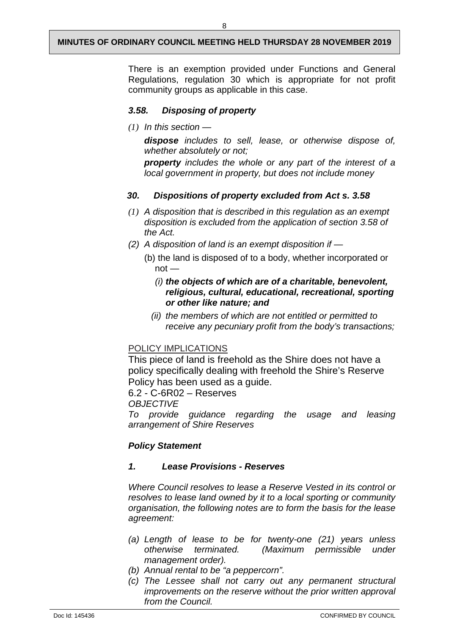There is an exemption provided under Functions and General Regulations, regulation 30 which is appropriate for not profit community groups as applicable in this case.

## *3.58. Disposing of property*

*(1) In this section —*

*dispose includes to sell, lease, or otherwise dispose of, whether absolutely or not;*

*property includes the whole or any part of the interest of a local government in property, but does not include money*

#### *30. Dispositions of property excluded from Act s. 3.58*

- *(1) A disposition that is described in this regulation as an exempt disposition is excluded from the application of section 3.58 of the Act.*
- *(2) A disposition of land is an exempt disposition if —*
	- (b) the land is disposed of to a body, whether incorporated or  $not -$

## *(i) the objects of which are of a charitable, benevolent, religious, cultural, educational, recreational, sporting or other like nature; and*

 *(ii) the members of which are not entitled or permitted to receive any pecuniary profit from the body's transactions;*

## POLICY IMPLICATIONS

This piece of land is freehold as the Shire does not have a policy specifically dealing with freehold the Shire's Reserve Policy has been used as a guide.

6.2 - C-6R02 – Reserves

*OBJECTIVE* 

*To provide guidance regarding the usage and leasing arrangement of Shire Reserves*

## *Policy Statement*

#### *1. Lease Provisions - Reserves*

*Where Council resolves to lease a Reserve Vested in its control or resolves to lease land owned by it to a local sporting or community organisation, the following notes are to form the basis for the lease agreement:*

- *(a) Length of lease to be for twenty-one (21) years unless otherwise terminated. (Maximum permissible under management order).*
- *(b) Annual rental to be "a peppercorn".*
- *(c) The Lessee shall not carry out any permanent structural improvements on the reserve without the prior written approval from the Council.*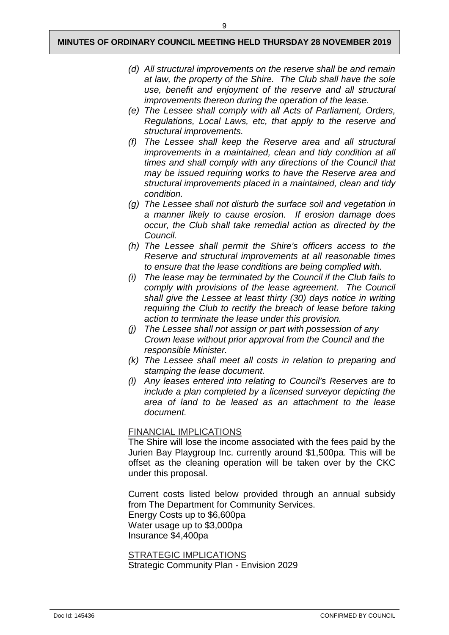- *(d) All structural improvements on the reserve shall be and remain at law, the property of the Shire. The Club shall have the sole use, benefit and enjoyment of the reserve and all structural improvements thereon during the operation of the lease.*
- *(e) The Lessee shall comply with all Acts of Parliament, Orders, Regulations, Local Laws, etc, that apply to the reserve and structural improvements.*
- *(f) The Lessee shall keep the Reserve area and all structural improvements in a maintained, clean and tidy condition at all times and shall comply with any directions of the Council that may be issued requiring works to have the Reserve area and structural improvements placed in a maintained, clean and tidy condition.*
- *(g) The Lessee shall not disturb the surface soil and vegetation in a manner likely to cause erosion. If erosion damage does occur, the Club shall take remedial action as directed by the Council.*
- *(h) The Lessee shall permit the Shire's officers access to the Reserve and structural improvements at all reasonable times to ensure that the lease conditions are being complied with.*
- *(i) The lease may be terminated by the Council if the Club fails to comply with provisions of the lease agreement. The Council shall give the Lessee at least thirty (30) days notice in writing requiring the Club to rectify the breach of lease before taking action to terminate the lease under this provision.*
- *(j) The Lessee shall not assign or part with possession of any Crown lease without prior approval from the Council and the responsible Minister.*
- *(k) The Lessee shall meet all costs in relation to preparing and stamping the lease document.*
- *(l) Any leases entered into relating to Council's Reserves are to include a plan completed by a licensed surveyor depicting the area of land to be leased as an attachment to the lease document.*

## FINANCIAL IMPLICATIONS

The Shire will lose the income associated with the fees paid by the Jurien Bay Playgroup Inc. currently around \$1,500pa. This will be offset as the cleaning operation will be taken over by the CKC under this proposal.

Current costs listed below provided through an annual subsidy from The Department for Community Services.

Energy Costs up to \$6,600pa Water usage up to \$3,000pa Insurance \$4,400pa

STRATEGIC IMPLICATIONS Strategic Community Plan - Envision 2029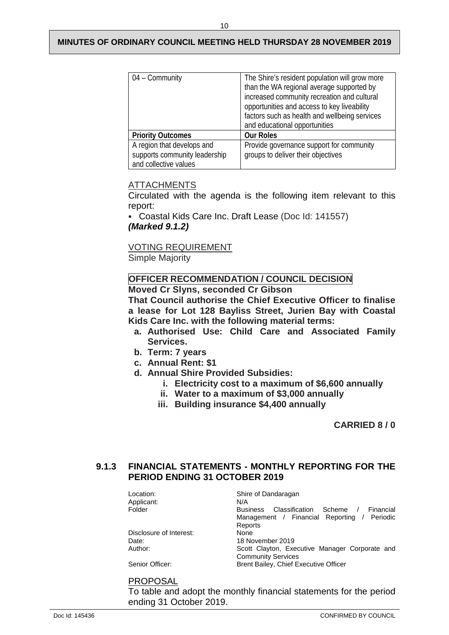| $04 -$ Community                                                                     | The Shire's resident population will grow more<br>than the WA regional average supported by<br>increased community recreation and cultural<br>opportunities and access to key liveability<br>factors such as health and wellbeing services<br>and educational opportunities |
|--------------------------------------------------------------------------------------|-----------------------------------------------------------------------------------------------------------------------------------------------------------------------------------------------------------------------------------------------------------------------------|
| <b>Priority Outcomes</b>                                                             | <b>Our Roles</b>                                                                                                                                                                                                                                                            |
| A region that develops and<br>supports community leadership<br>and collective values | Provide governance support for community<br>groups to deliver their objectives                                                                                                                                                                                              |

## **ATTACHMENTS**

Circulated with the agenda is the following item relevant to this report:

 Coastal Kids Care Inc. Draft Lease (Doc Id: 141557) *(Marked 9.1.2)*

VOTING REQUIREMENT

Simple Majority

#### **OFFICER RECOMMENDATION / COUNCIL DECISION Moved Cr Slyns, seconded Cr Gibson**

**That Council authorise the Chief Executive Officer to finalise a lease for Lot 128 Bayliss Street, Jurien Bay with Coastal Kids Care Inc. with the following material terms:**

- **a. Authorised Use: Child Care and Associated Family Services.**
- **b. Term: 7 years**
- **c. Annual Rent: \$1**
- **d. Annual Shire Provided Subsidies:**
	- **i. Electricity cost to a maximum of \$6,600 annually**
	- **ii. Water to a maximum of \$3,000 annually**
	- **iii. Building insurance \$4,400 annually**

**CARRIED 8 / 0** 

## <span id="page-12-0"></span>**9.1.3 FINANCIAL STATEMENTS - MONTHLY REPORTING FOR THE PERIOD ENDING 31 OCTOBER 2019**

| Location:<br>Applicant: | Shire of Dandaragan<br>N/A                            |
|-------------------------|-------------------------------------------------------|
| Folder                  | Classification Scheme<br>Financial<br><b>Business</b> |
|                         | Management / Financial Reporting / Periodic           |
|                         | Reports                                               |
| Disclosure of Interest: | None                                                  |
| Date:                   | 18 November 2019                                      |
| Author:                 | Scott Clayton, Executive Manager Corporate and        |
|                         | <b>Community Services</b>                             |
| Senior Officer:         | Brent Bailey, Chief Executive Officer                 |

#### PROPOSAL

To table and adopt the monthly financial statements for the period ending 31 October 2019.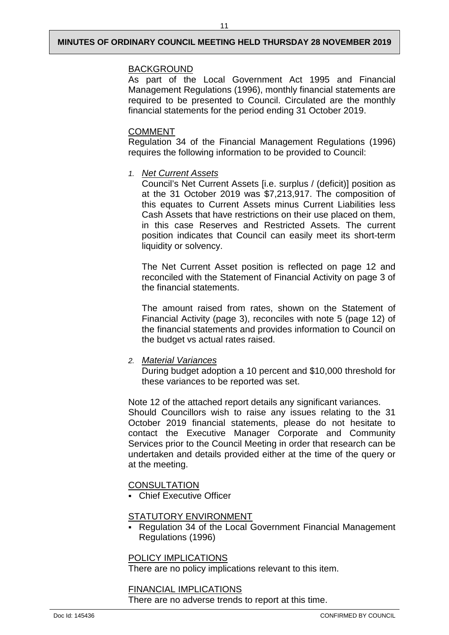## BACKGROUND

As part of the Local Government Act 1995 and Financial Management Regulations (1996), monthly financial statements are required to be presented to Council. Circulated are the monthly financial statements for the period ending 31 October 2019.

## COMMENT

Regulation 34 of the Financial Management Regulations (1996) requires the following information to be provided to Council:

#### *1. Net Current Assets*

Council's Net Current Assets [i.e. surplus / (deficit)] position as at the 31 October 2019 was \$7,213,917. The composition of this equates to Current Assets minus Current Liabilities less Cash Assets that have restrictions on their use placed on them, in this case Reserves and Restricted Assets. The current position indicates that Council can easily meet its short-term liquidity or solvency.

The Net Current Asset position is reflected on page 12 and reconciled with the Statement of Financial Activity on page 3 of the financial statements.

The amount raised from rates, shown on the Statement of Financial Activity (page 3), reconciles with note 5 (page 12) of the financial statements and provides information to Council on the budget vs actual rates raised.

#### *2. Material Variances*

During budget adoption a 10 percent and \$10,000 threshold for these variances to be reported was set.

Note 12 of the attached report details any significant variances. Should Councillors wish to raise any issues relating to the 31 October 2019 financial statements, please do not hesitate to contact the Executive Manager Corporate and Community Services prior to the Council Meeting in order that research can be undertaken and details provided either at the time of the query or at the meeting.

## **CONSULTATION**

**Chief Executive Officer** 

#### STATUTORY ENVIRONMENT

 Regulation 34 of the Local Government Financial Management Regulations (1996)

#### POLICY IMPLICATIONS

There are no policy implications relevant to this item.

#### FINANCIAL IMPLICATIONS

There are no adverse trends to report at this time.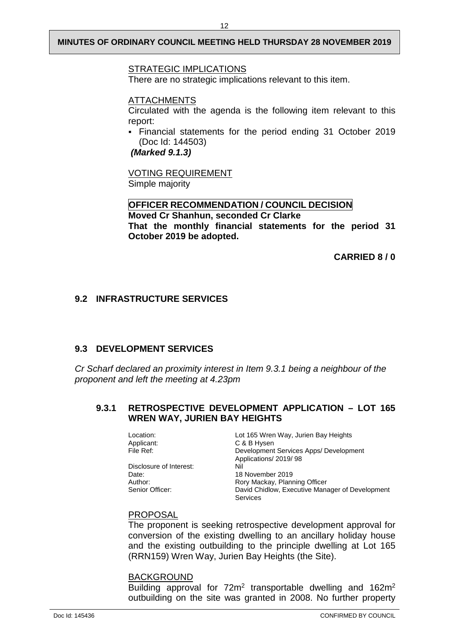## STRATEGIC IMPLICATIONS

There are no strategic implications relevant to this item.

#### ATTACHMENTS

Circulated with the agenda is the following item relevant to this report:

 Financial statements for the period ending 31 October 2019 (Doc Id: 144503)

*(Marked 9.1.3)*

VOTING REQUIREMENT Simple majority

#### **OFFICER RECOMMENDATION / COUNCIL DECISION**

**Moved Cr Shanhun, seconded Cr Clarke That the monthly financial statements for the period 31 October 2019 be adopted.**

**CARRIED 8 / 0** 

## <span id="page-14-0"></span>**9.2 INFRASTRUCTURE SERVICES**

## <span id="page-14-1"></span>**9.3 DEVELOPMENT SERVICES**

*Cr Scharf declared an proximity interest in Item 9.3.1 being a neighbour of the proponent and left the meeting at 4.23pm*

## <span id="page-14-2"></span>**9.3.1 RETROSPECTIVE DEVELOPMENT APPLICATION – LOT 165 WREN WAY, JURIEN BAY HEIGHTS**

| Location:               | Lot 165 Wren Way, Jurien Bay Heights            |
|-------------------------|-------------------------------------------------|
| Applicant:              | C & B Hysen                                     |
| File Ref:               | Development Services Apps/ Development          |
|                         | Applications/ 2019/ 98                          |
| Disclosure of Interest: | Nil                                             |
| Date:                   | 18 November 2019                                |
| Author:                 | Rory Mackay, Planning Officer                   |
| Senior Officer:         | David Chidlow, Executive Manager of Development |
|                         | <b>Services</b>                                 |

#### PROPOSAL

The proponent is seeking retrospective development approval for conversion of the existing dwelling to an ancillary holiday house and the existing outbuilding to the principle dwelling at Lot 165 (RRN159) Wren Way, Jurien Bay Heights (the Site).

#### BACKGROUND

Building approval for 72m<sup>2</sup> transportable dwelling and 162m<sup>2</sup> outbuilding on the site was granted in 2008. No further property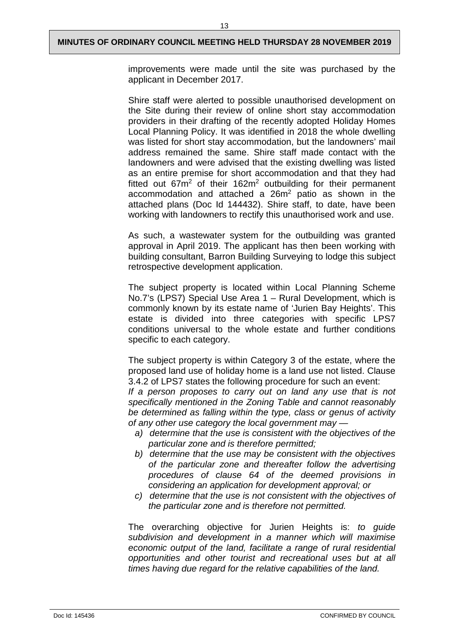improvements were made until the site was purchased by the applicant in December 2017.

Shire staff were alerted to possible unauthorised development on the Site during their review of online short stay accommodation providers in their drafting of the recently adopted Holiday Homes Local Planning Policy. It was identified in 2018 the whole dwelling was listed for short stay accommodation, but the landowners' mail address remained the same. Shire staff made contact with the landowners and were advised that the existing dwelling was listed as an entire premise for short accommodation and that they had fitted out  $67m^2$  of their  $162m^2$  outbuilding for their permanent accommodation and attached a 26m2 patio as shown in the attached plans (Doc Id 144432). Shire staff, to date, have been working with landowners to rectify this unauthorised work and use.

As such, a wastewater system for the outbuilding was granted approval in April 2019. The applicant has then been working with building consultant, Barron Building Surveying to lodge this subject retrospective development application.

The subject property is located within Local Planning Scheme No.7's (LPS7) Special Use Area 1 – Rural Development, which is commonly known by its estate name of 'Jurien Bay Heights'. This estate is divided into three categories with specific LPS7 conditions universal to the whole estate and further conditions specific to each category.

The subject property is within Category 3 of the estate, where the proposed land use of holiday home is a land use not listed. Clause 3.4.2 of LPS7 states the following procedure for such an event:

*If a person proposes to carry out on land any use that is not specifically mentioned in the Zoning Table and cannot reasonably be determined as falling within the type, class or genus of activity of any other use category the local government may —*

- *a) determine that the use is consistent with the objectives of the particular zone and is therefore permitted;*
- *b) determine that the use may be consistent with the objectives of the particular zone and thereafter follow the advertising procedures of clause 64 of the deemed provisions in considering an application for development approval; or*
- *c) determine that the use is not consistent with the objectives of the particular zone and is therefore not permitted.*

The overarching objective for Jurien Heights is: *to guide subdivision and development in a manner which will maximise economic output of the land, facilitate a range of rural residential opportunities and other tourist and recreational uses but at all times having due regard for the relative capabilities of the land.*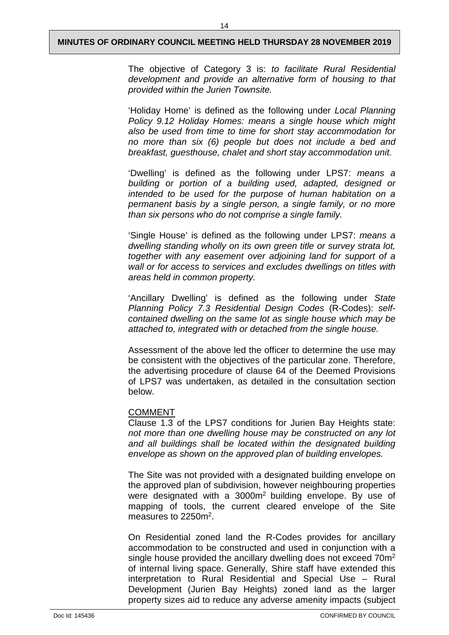The objective of Category 3 is: *to facilitate Rural Residential development and provide an alternative form of housing to that provided within the Jurien Townsite.* 

'Holiday Home' is defined as the following under *Local Planning Policy 9.12 Holiday Homes: means a single house which might also be used from time to time for short stay accommodation for no more than six (6) people but does not include a bed and breakfast, guesthouse, chalet and short stay accommodation unit.*

'Dwelling' is defined as the following under LPS7: *means a building or portion of a building used, adapted, designed or intended to be used for the purpose of human habitation on a permanent basis by a single person, a single family, or no more than six persons who do not comprise a single family.*

'Single House' is defined as the following under LPS7: *means a dwelling standing wholly on its own green title or survey strata lot, together with any easement over adjoining land for support of a wall or for access to services and excludes dwellings on titles with areas held in common property.* 

'Ancillary Dwelling' is defined as the following under *State Planning Policy 7.3 Residential Design Codes* (R-Codes): *selfcontained dwelling on the same lot as single house which may be attached to, integrated with or detached from the single house.*

Assessment of the above led the officer to determine the use may be consistent with the objectives of the particular zone. Therefore, the advertising procedure of clause 64 of the Deemed Provisions of LPS7 was undertaken, as detailed in the consultation section below.

#### COMMENT

Clause 1.3 of the LPS7 conditions for Jurien Bay Heights state: *not more than one dwelling house may be constructed on any lot and all buildings shall be located within the designated building envelope as shown on the approved plan of building envelopes.* 

The Site was not provided with a designated building envelope on the approved plan of subdivision, however neighbouring properties were designated with a 3000m2 building envelope. By use of mapping of tools, the current cleared envelope of the Site measures to 2250m2.

On Residential zoned land the R-Codes provides for ancillary accommodation to be constructed and used in conjunction with a single house provided the ancillary dwelling does not exceed 70m2 of internal living space. Generally, Shire staff have extended this interpretation to Rural Residential and Special Use – Rural Development (Jurien Bay Heights) zoned land as the larger property sizes aid to reduce any adverse amenity impacts (subject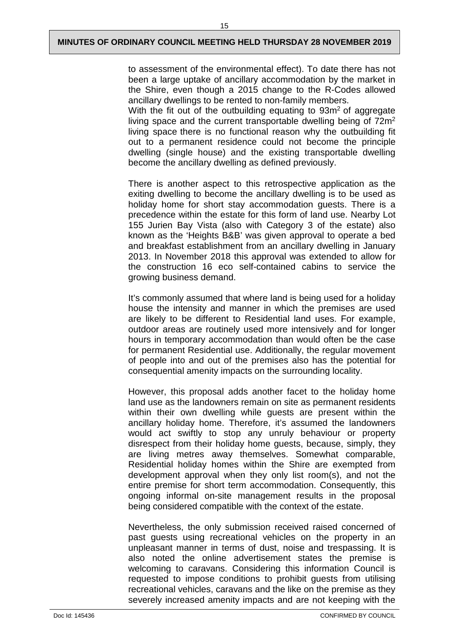to assessment of the environmental effect). To date there has not been a large uptake of ancillary accommodation by the market in the Shire, even though a 2015 change to the R-Codes allowed ancillary dwellings to be rented to non-family members.

With the fit out of the outbuilding equating to  $93m<sup>2</sup>$  of aggregate living space and the current transportable dwelling being of 72m<sup>2</sup> living space there is no functional reason why the outbuilding fit out to a permanent residence could not become the principle dwelling (single house) and the existing transportable dwelling become the ancillary dwelling as defined previously.

There is another aspect to this retrospective application as the exiting dwelling to become the ancillary dwelling is to be used as holiday home for short stay accommodation guests. There is a precedence within the estate for this form of land use. Nearby Lot 155 Jurien Bay Vista (also with Category 3 of the estate) also known as the 'Heights B&B' was given approval to operate a bed and breakfast establishment from an ancillary dwelling in January 2013. In November 2018 this approval was extended to allow for the construction 16 eco self-contained cabins to service the growing business demand.

It's commonly assumed that where land is being used for a holiday house the intensity and manner in which the premises are used are likely to be different to Residential land uses. For example, outdoor areas are routinely used more intensively and for longer hours in temporary accommodation than would often be the case for permanent Residential use. Additionally, the regular movement of people into and out of the premises also has the potential for consequential amenity impacts on the surrounding locality.

However, this proposal adds another facet to the holiday home land use as the landowners remain on site as permanent residents within their own dwelling while guests are present within the ancillary holiday home. Therefore, it's assumed the landowners would act swiftly to stop any unruly behaviour or property disrespect from their holiday home guests, because, simply, they are living metres away themselves. Somewhat comparable, Residential holiday homes within the Shire are exempted from development approval when they only list room(s), and not the entire premise for short term accommodation. Consequently, this ongoing informal on-site management results in the proposal being considered compatible with the context of the estate.

Nevertheless, the only submission received raised concerned of past guests using recreational vehicles on the property in an unpleasant manner in terms of dust, noise and trespassing. It is also noted the online advertisement states the premise is welcoming to caravans. Considering this information Council is requested to impose conditions to prohibit guests from utilising recreational vehicles, caravans and the like on the premise as they severely increased amenity impacts and are not keeping with the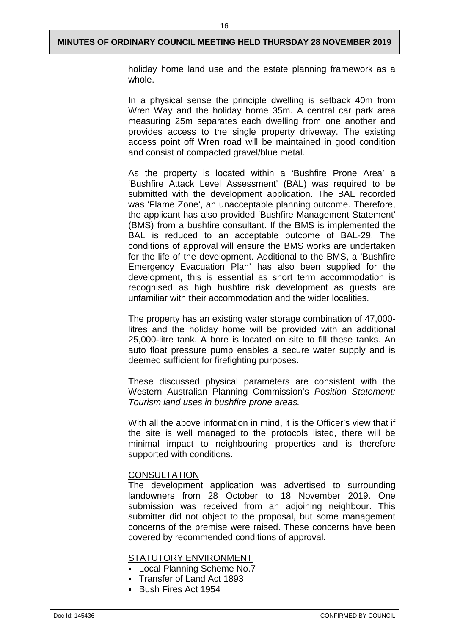holiday home land use and the estate planning framework as a whole.

In a physical sense the principle dwelling is setback 40m from Wren Way and the holiday home 35m. A central car park area measuring 25m separates each dwelling from one another and provides access to the single property driveway. The existing access point off Wren road will be maintained in good condition and consist of compacted gravel/blue metal.

As the property is located within a 'Bushfire Prone Area' a 'Bushfire Attack Level Assessment' (BAL) was required to be submitted with the development application. The BAL recorded was 'Flame Zone', an unacceptable planning outcome. Therefore, the applicant has also provided 'Bushfire Management Statement' (BMS) from a bushfire consultant. If the BMS is implemented the BAL is reduced to an acceptable outcome of BAL-29. The conditions of approval will ensure the BMS works are undertaken for the life of the development. Additional to the BMS, a 'Bushfire Emergency Evacuation Plan' has also been supplied for the development, this is essential as short term accommodation is recognised as high bushfire risk development as guests are unfamiliar with their accommodation and the wider localities.

The property has an existing water storage combination of 47,000 litres and the holiday home will be provided with an additional 25,000-litre tank. A bore is located on site to fill these tanks. An auto float pressure pump enables a secure water supply and is deemed sufficient for firefighting purposes.

These discussed physical parameters are consistent with the Western Australian Planning Commission's *Position Statement: Tourism land uses in bushfire prone areas.* 

With all the above information in mind, it is the Officer's view that if the site is well managed to the protocols listed, there will be minimal impact to neighbouring properties and is therefore supported with conditions.

#### **CONSULTATION**

The development application was advertised to surrounding landowners from 28 October to 18 November 2019. One submission was received from an adjoining neighbour. This submitter did not object to the proposal, but some management concerns of the premise were raised. These concerns have been covered by recommended conditions of approval.

#### STATUTORY ENVIRONMENT

- Local Planning Scheme No.7
- Transfer of Land Act 1893
- Bush Fires Act 1954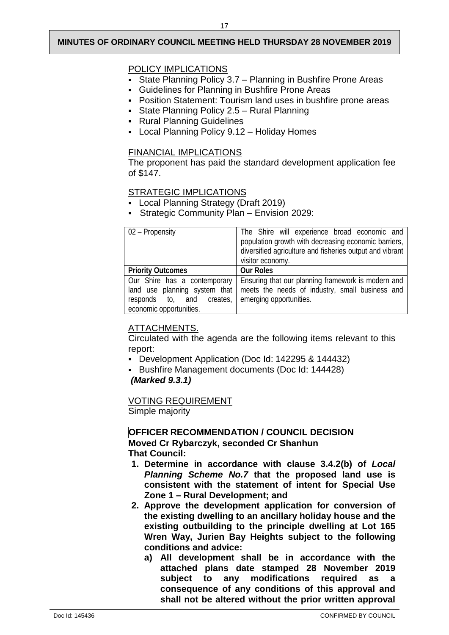## POLICY IMPLICATIONS

- State Planning Policy 3.7 Planning in Bushfire Prone Areas
- Guidelines for Planning in Bushfire Prone Areas
- Position Statement: Tourism land uses in bushfire prone areas
- State Planning Policy 2.5 Rural Planning
- **Rural Planning Guidelines**
- Local Planning Policy 9.12 Holiday Homes

## FINANCIAL IMPLICATIONS

The proponent has paid the standard development application fee of \$147.

## STRATEGIC IMPLICATIONS

- Local Planning Strategy (Draft 2019)
- Strategic Community Plan Envision 2029:

| $\overline{02}$ – Propensity  | The Shire will experience broad economic and<br>population growth with decreasing economic barriers,<br>diversified agriculture and fisheries output and vibrant<br>visitor economy. |
|-------------------------------|--------------------------------------------------------------------------------------------------------------------------------------------------------------------------------------|
| <b>Priority Outcomes</b>      | <b>Our Roles</b>                                                                                                                                                                     |
| Our Shire has a contemporary  | Ensuring that our planning framework is modern and                                                                                                                                   |
| land use planning system that | meets the needs of industry, small business and                                                                                                                                      |
| responds to, and creates,     | emerging opportunities.                                                                                                                                                              |
| economic opportunities.       |                                                                                                                                                                                      |

## ATTACHMENTS.

Circulated with the agenda are the following items relevant to this report:

- Development Application (Doc Id: 142295 & 144432)
- Bushfire Management documents (Doc Id: 144428)

## *(Marked 9.3.1)*

## VOTING REQUIREMENT

Simple majority

# **OFFICER RECOMMENDATION / COUNCIL DECISION**

**Moved Cr Rybarczyk, seconded Cr Shanhun That Council:** 

- **1. Determine in accordance with clause 3.4.2(b) of** *Local Planning Scheme No.7* **that the proposed land use is consistent with the statement of intent for Special Use Zone 1 – Rural Development; and**
- **2. Approve the development application for conversion of the existing dwelling to an ancillary holiday house and the existing outbuilding to the principle dwelling at Lot 165 Wren Way, Jurien Bay Heights subject to the following conditions and advice:**
	- **a) All development shall be in accordance with the attached plans date stamped 28 November 2019 subject to any modifications required as a consequence of any conditions of this approval and shall not be altered without the prior written approval**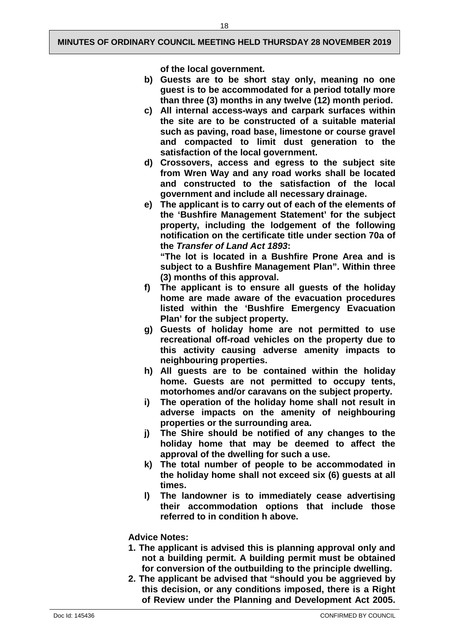18

**of the local government.**

- **b) Guests are to be short stay only, meaning no one guest is to be accommodated for a period totally more than three (3) months in any twelve (12) month period.**
- **c) All internal access-ways and carpark surfaces within the site are to be constructed of a suitable material such as paving, road base, limestone or course gravel and compacted to limit dust generation to the satisfaction of the local government.**
- **d) Crossovers, access and egress to the subject site from Wren Way and any road works shall be located and constructed to the satisfaction of the local government and include all necessary drainage.**
- **e) The applicant is to carry out of each of the elements of the 'Bushfire Management Statement' for the subject property, including the lodgement of the following notification on the certificate title under section 70a of the** *Transfer of Land Act 1893***:**

**"The lot is located in a Bushfire Prone Area and is subject to a Bushfire Management Plan". Within three (3) months of this approval.**

- **f) The applicant is to ensure all guests of the holiday home are made aware of the evacuation procedures listed within the 'Bushfire Emergency Evacuation Plan' for the subject property.**
- **g) Guests of holiday home are not permitted to use recreational off-road vehicles on the property due to this activity causing adverse amenity impacts to neighbouring properties.**
- **h) All guests are to be contained within the holiday home. Guests are not permitted to occupy tents, motorhomes and/or caravans on the subject property.**
- **i) The operation of the holiday home shall not result in adverse impacts on the amenity of neighbouring properties or the surrounding area.**
- **j) The Shire should be notified of any changes to the holiday home that may be deemed to affect the approval of the dwelling for such a use.**
- **k) The total number of people to be accommodated in the holiday home shall not exceed six (6) guests at all times.**
- **l) The landowner is to immediately cease advertising their accommodation options that include those referred to in condition h above.**

## **Advice Notes:**

- **1. The applicant is advised this is planning approval only and not a building permit. A building permit must be obtained for conversion of the outbuilding to the principle dwelling.**
- **2. The applicant be advised that "should you be aggrieved by this decision, or any conditions imposed, there is a Right of Review under the Planning and Development Act 2005.**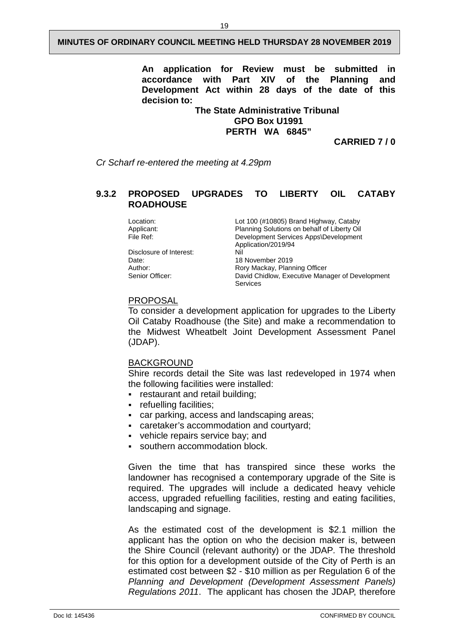**An application for Review must be submitted in**  with Part XIV **Development Act within 28 days of the date of this decision to:**

> **The State Administrative Tribunal GPO Box U1991 PERTH WA 6845"**

> > **CARRIED 7 / 0**

*Cr Scharf re-entered the meeting at 4.29pm*

#### <span id="page-21-0"></span>**9.3.2 PROPOSED UPGRADES TO LIBERTY OIL CATABY ROADHOUSE**

Location: Lot 100 (#10805) Brand Highway, Cataby<br>Applicant: Planning Solutions on behalf of Liberty Oil Applicant: Planning Solutions on behalf of Liberty Oil<br>File Ref: Primary Development Services Apps\Development Development Services Apps\Development Application/2019/94 Disclosure of Interest:<br>Date: Date: 18 November 2019<br>Author: 18 November 2019 Author: **Author:** Rory Mackay, Planning Officer<br>
Senior Officer: **Rose Senior Contains Contains Contains Contains Contains Senior Channel** David Chidlow, Executive Manager of Development Services

#### PROPOSAL

To consider a development application for upgrades to the Liberty Oil Cataby Roadhouse (the Site) and make a recommendation to the Midwest Wheatbelt Joint Development Assessment Panel (JDAP).

#### BACKGROUND

Shire records detail the Site was last redeveloped in 1974 when the following facilities were installed:

- restaurant and retail building;
- refuelling facilities;
- car parking, access and landscaping areas;
- caretaker's accommodation and courtyard;
- vehicle repairs service bay; and
- southern accommodation block.

Given the time that has transpired since these works the landowner has recognised a contemporary upgrade of the Site is required. The upgrades will include a dedicated heavy vehicle access, upgraded refuelling facilities, resting and eating facilities, landscaping and signage.

As the estimated cost of the development is \$2.1 million the applicant has the option on who the decision maker is, between the Shire Council (relevant authority) or the JDAP*.* The threshold for this option for a development outside of the City of Perth is an estimated cost between \$2 - \$10 million as per Regulation 6 of the *Planning and Development (Development Assessment Panels) Regulations 2011*. The applicant has chosen the JDAP, therefore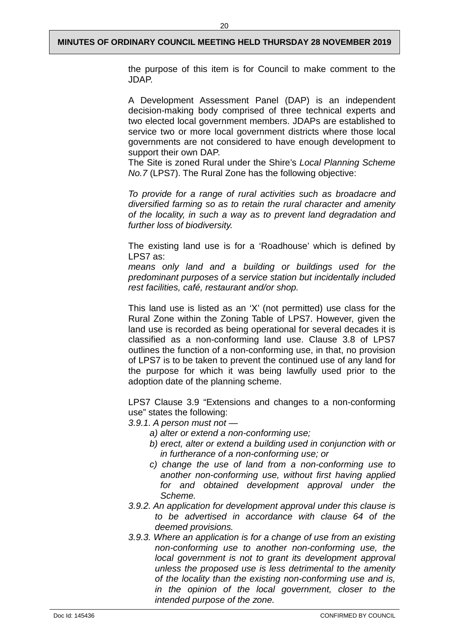the purpose of this item is for Council to make comment to the JDAP.

A Development Assessment Panel (DAP) is an independent decision-making body comprised of three technical experts and two elected local government members. JDAPs are established to service two or more local government districts where those local governments are not considered to have enough development to support their own DAP.

The Site is zoned Rural under the Shire's *Local Planning Scheme No.7* (LPS7). The Rural Zone has the following objective:

*To provide for a range of rural activities such as broadacre and diversified farming so as to retain the rural character and amenity of the locality, in such a way as to prevent land degradation and further loss of biodiversity.*

The existing land use is for a 'Roadhouse' which is defined by LPS7 as:

*means only land and a building or buildings used for the predominant purposes of a service station but incidentally included rest facilities, café, restaurant and/or shop.*

This land use is listed as an 'X' (not permitted) use class for the Rural Zone within the Zoning Table of LPS7. However, given the land use is recorded as being operational for several decades it is classified as a non-conforming land use. Clause 3.8 of LPS7 outlines the function of a non-conforming use, in that, no provision of LPS7 is to be taken to prevent the continued use of any land for the purpose for which it was being lawfully used prior to the adoption date of the planning scheme.

LPS7 Clause 3.9 "Extensions and changes to a non-conforming use" states the following:

*3.9.1. A person must not —*

- *a) alter or extend a non-conforming use;*
- *b) erect, alter or extend a building used in conjunction with or in furtherance of a non-conforming use; or*
- *c) change the use of land from a non-conforming use to another non-conforming use, without first having applied for and obtained development approval under the Scheme.*
- *3.9.2. An application for development approval under this clause is to be advertised in accordance with clause 64 of the deemed provisions.*
- *3.9.3. Where an application is for a change of use from an existing non-conforming use to another non-conforming use, the local government is not to grant its development approval unless the proposed use is less detrimental to the amenity of the locality than the existing non-conforming use and is, in the opinion of the local government, closer to the intended purpose of the zone.*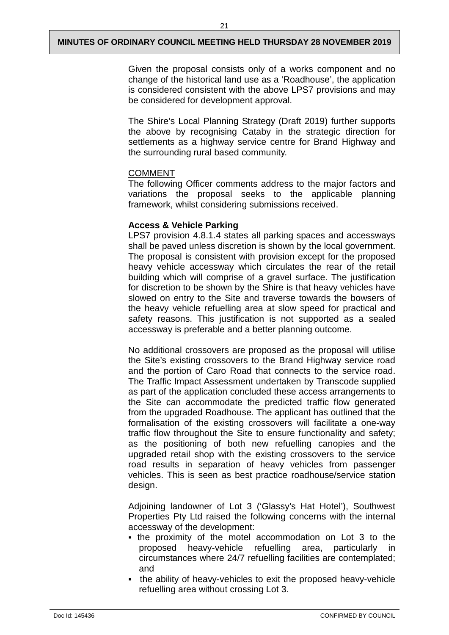Given the proposal consists only of a works component and no change of the historical land use as a 'Roadhouse', the application is considered consistent with the above LPS7 provisions and may be considered for development approval.

The Shire's Local Planning Strategy (Draft 2019) further supports the above by recognising Cataby in the strategic direction for settlements as a highway service centre for Brand Highway and the surrounding rural based community.

## COMMENT

The following Officer comments address to the major factors and variations the proposal seeks to the applicable planning framework, whilst considering submissions received.

## **Access & Vehicle Parking**

LPS7 provision 4.8.1.4 states all parking spaces and accessways shall be paved unless discretion is shown by the local government. The proposal is consistent with provision except for the proposed heavy vehicle accessway which circulates the rear of the retail building which will comprise of a gravel surface. The justification for discretion to be shown by the Shire is that heavy vehicles have slowed on entry to the Site and traverse towards the bowsers of the heavy vehicle refuelling area at slow speed for practical and safety reasons. This justification is not supported as a sealed accessway is preferable and a better planning outcome.

No additional crossovers are proposed as the proposal will utilise the Site's existing crossovers to the Brand Highway service road and the portion of Caro Road that connects to the service road. The Traffic Impact Assessment undertaken by Transcode supplied as part of the application concluded these access arrangements to the Site can accommodate the predicted traffic flow generated from the upgraded Roadhouse. The applicant has outlined that the formalisation of the existing crossovers will facilitate a one-way traffic flow throughout the Site to ensure functionality and safety; as the positioning of both new refuelling canopies and the upgraded retail shop with the existing crossovers to the service road results in separation of heavy vehicles from passenger vehicles. This is seen as best practice roadhouse/service station design.

Adjoining landowner of Lot 3 ('Glassy's Hat Hotel'), Southwest Properties Pty Ltd raised the following concerns with the internal accessway of the development:

- the proximity of the motel accommodation on Lot 3 to the proposed heavy-vehicle refuelling area, particularly in circumstances where 24/7 refuelling facilities are contemplated; and
- the ability of heavy-vehicles to exit the proposed heavy-vehicle refuelling area without crossing Lot 3.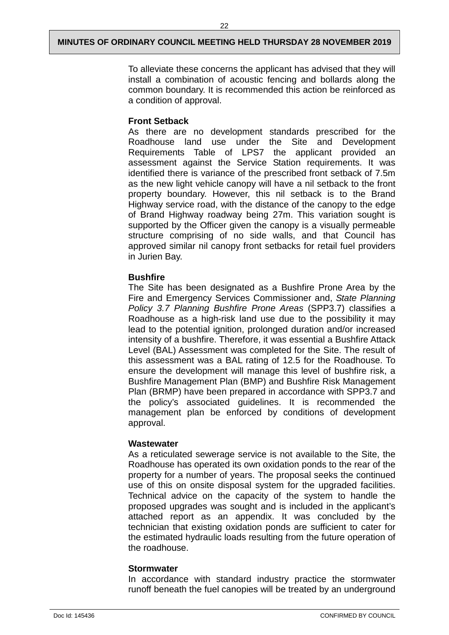To alleviate these concerns the applicant has advised that they will install a combination of acoustic fencing and bollards along the common boundary. It is recommended this action be reinforced as a condition of approval.

## **Front Setback**

As there are no development standards prescribed for the Roadhouse land use under the Site and Development Requirements Table of LPS7 the applicant provided an assessment against the Service Station requirements. It was identified there is variance of the prescribed front setback of 7.5m as the new light vehicle canopy will have a nil setback to the front property boundary. However, this nil setback is to the Brand Highway service road, with the distance of the canopy to the edge of Brand Highway roadway being 27m. This variation sought is supported by the Officer given the canopy is a visually permeable structure comprising of no side walls, and that Council has approved similar nil canopy front setbacks for retail fuel providers in Jurien Bay.

## **Bushfire**

The Site has been designated as a Bushfire Prone Area by the Fire and Emergency Services Commissioner and, *State Planning Policy 3.7 Planning Bushfire Prone Areas* (SPP3.7) classifies a Roadhouse as a high-risk land use due to the possibility it may lead to the potential ignition, prolonged duration and/or increased intensity of a bushfire. Therefore, it was essential a Bushfire Attack Level (BAL) Assessment was completed for the Site. The result of this assessment was a BAL rating of 12.5 for the Roadhouse. To ensure the development will manage this level of bushfire risk, a Bushfire Management Plan (BMP) and Bushfire Risk Management Plan (BRMP) have been prepared in accordance with SPP3.7 and the policy's associated guidelines. It is recommended the management plan be enforced by conditions of development approval.

#### **Wastewater**

As a reticulated sewerage service is not available to the Site, the Roadhouse has operated its own oxidation ponds to the rear of the property for a number of years. The proposal seeks the continued use of this on onsite disposal system for the upgraded facilities. Technical advice on the capacity of the system to handle the proposed upgrades was sought and is included in the applicant's attached report as an appendix. It was concluded by the technician that existing oxidation ponds are sufficient to cater for the estimated hydraulic loads resulting from the future operation of the roadhouse.

## **Stormwater**

In accordance with standard industry practice the stormwater runoff beneath the fuel canopies will be treated by an underground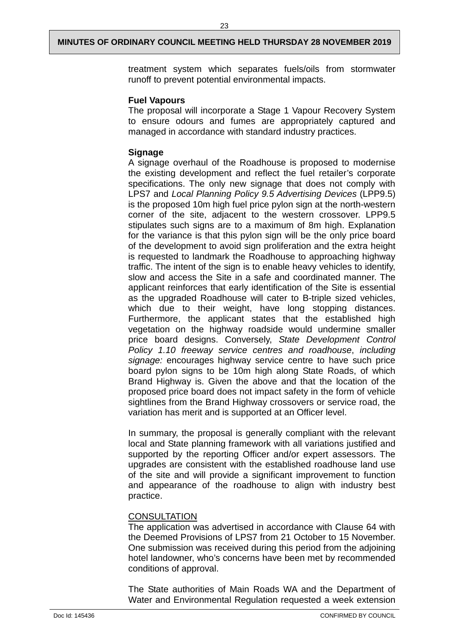treatment system which separates fuels/oils from stormwater runoff to prevent potential environmental impacts.

#### **Fuel Vapours**

The proposal will incorporate a Stage 1 Vapour Recovery System to ensure odours and fumes are appropriately captured and managed in accordance with standard industry practices.

## **Signage**

A signage overhaul of the Roadhouse is proposed to modernise the existing development and reflect the fuel retailer's corporate specifications. The only new signage that does not comply with LPS7 and *Local Planning Policy 9.5 Advertising Devices* (LPP9.5) is the proposed 10m high fuel price pylon sign at the north-western corner of the site, adjacent to the western crossover. LPP9.5 stipulates such signs are to a maximum of 8m high. Explanation for the variance is that this pylon sign will be the only price board of the development to avoid sign proliferation and the extra height is requested to landmark the Roadhouse to approaching highway traffic. The intent of the sign is to enable heavy vehicles to identify, slow and access the Site in a safe and coordinated manner. The applicant reinforces that early identification of the Site is essential as the upgraded Roadhouse will cater to B-triple sized vehicles, which due to their weight, have long stopping distances. Furthermore, the applicant states that the established high vegetation on the highway roadside would undermine smaller price board designs. Conversely, *State Development Control Policy 1.10 freeway service centres and roadhouse*, *including signage:* encourages highway service centre to have such price board pylon signs to be 10m high along State Roads, of which Brand Highway is. Given the above and that the location of the proposed price board does not impact safety in the form of vehicle sightlines from the Brand Highway crossovers or service road, the variation has merit and is supported at an Officer level.

In summary, the proposal is generally compliant with the relevant local and State planning framework with all variations justified and supported by the reporting Officer and/or expert assessors. The upgrades are consistent with the established roadhouse land use of the site and will provide a significant improvement to function and appearance of the roadhouse to align with industry best practice.

## **CONSULTATION**

The application was advertised in accordance with Clause 64 with the Deemed Provisions of LPS7 from 21 October to 15 November. One submission was received during this period from the adjoining hotel landowner, who's concerns have been met by recommended conditions of approval.

The State authorities of Main Roads WA and the Department of Water and Environmental Regulation requested a week extension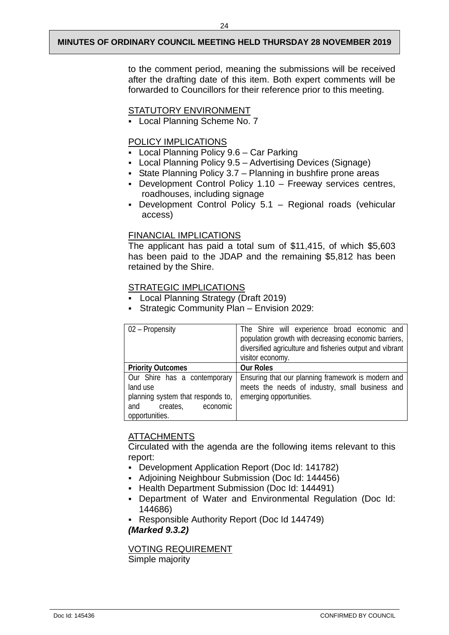to the comment period, meaning the submissions will be received after the drafting date of this item. Both expert comments will be forwarded to Councillors for their reference prior to this meeting.

#### STATUTORY ENVIRONMENT

Local Planning Scheme No. 7

## POLICY IMPLICATIONS

- Local Planning Policy 9.6 Car Parking
- Local Planning Policy 9.5 Advertising Devices (Signage)
- State Planning Policy 3.7 Planning in bushfire prone areas
- Development Control Policy 1.10 Freeway services centres, roadhouses, including signage
- Development Control Policy 5.1 Regional roads (vehicular access)

## FINANCIAL IMPLICATIONS

The applicant has paid a total sum of \$11,415, of which \$5,603 has been paid to the JDAP and the remaining \$5,812 has been retained by the Shire.

## STRATEGIC IMPLICATIONS

- Local Planning Strategy (Draft 2019)
- Strategic Community Plan Envision 2029:

| 02 – Propensity                   | The Shire will experience broad economic and             |
|-----------------------------------|----------------------------------------------------------|
|                                   | population growth with decreasing economic barriers,     |
|                                   | diversified agriculture and fisheries output and vibrant |
|                                   | visitor economy.                                         |
| <b>Priority Outcomes</b>          | <b>Our Roles</b>                                         |
| Our Shire has a contemporary      | Ensuring that our planning framework is modern and       |
| land use                          | meets the needs of industry, small business and          |
| planning system that responds to, | emerging opportunities.                                  |
| and creates,<br>economic          |                                                          |
| opportunities.                    |                                                          |

## ATTACHMENTS

Circulated with the agenda are the following items relevant to this report:

- Development Application Report (Doc Id: 141782)
- Adjoining Neighbour Submission (Doc Id: 144456)
- **Health Department Submission (Doc Id: 144491)**
- Department of Water and Environmental Regulation (Doc Id: 144686)
- Responsible Authority Report (Doc Id 144749)

*(Marked 9.3.2)*

VOTING REQUIREMENT Simple majority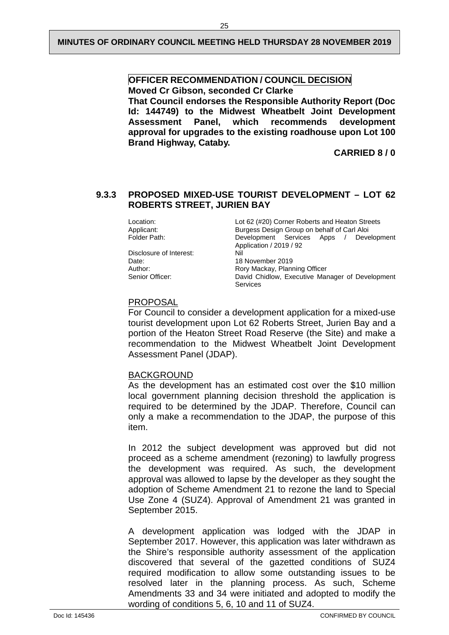#### **OFFICER RECOMMENDATION / COUNCIL DECISION Moved Cr Gibson, seconded Cr Clarke**

**That Council endorses the Responsible Authority Report (Doc Id: 144749) to the Midwest Wheatbelt Joint Development Assessment Panel, which recommends development approval for upgrades to the existing roadhouse upon Lot 100 Brand Highway, Cataby.**

**CARRIED 8 / 0** 

## <span id="page-27-0"></span>**9.3.3 PROPOSED MIXED-USE TOURIST DEVELOPMENT – LOT 62 ROBERTS STREET, JURIEN BAY**

Location: Location: Location: Location: Location: Location: Location: Location: Location: Location: Location Streets<br>Burgess Design Group on behalf of Carl Aloi Applicant: **Burgess Design Group on behalf of Carl Aloi**<br>
Folder Path: **Burgess Development** Services Apps / Deve Development Services Apps / Development Application / 2019 / 92 Disclosure of Interest:<br>Date: Date: 18 November 2019<br>
Author: 18 November 2019<br>
Rory Mackay, Planr Author: Rory Mackay, Planning Officer<br>
Rory Mackay, Planning Officer<br>
David Chidlow, Executive Mar David Chidlow, Executive Manager of Development Services

#### PROPOSAL

For Council to consider a development application for a mixed-use tourist development upon Lot 62 Roberts Street, Jurien Bay and a portion of the Heaton Street Road Reserve (the Site) and make a recommendation to the Midwest Wheatbelt Joint Development Assessment Panel (JDAP).

#### BACKGROUND

As the development has an estimated cost over the \$10 million local government planning decision threshold the application is required to be determined by the JDAP. Therefore, Council can only a make a recommendation to the JDAP, the purpose of this item.

In 2012 the subject development was approved but did not proceed as a scheme amendment (rezoning) to lawfully progress the development was required. As such, the development approval was allowed to lapse by the developer as they sought the adoption of Scheme Amendment 21 to rezone the land to Special Use Zone 4 (SUZ4). Approval of Amendment 21 was granted in September 2015.

A development application was lodged with the JDAP in September 2017. However, this application was later withdrawn as the Shire's responsible authority assessment of the application discovered that several of the gazetted conditions of SUZ4 required modification to allow some outstanding issues to be resolved later in the planning process. As such, Scheme Amendments 33 and 34 were initiated and adopted to modify the wording of conditions 5, 6, 10 and 11 of SUZ4.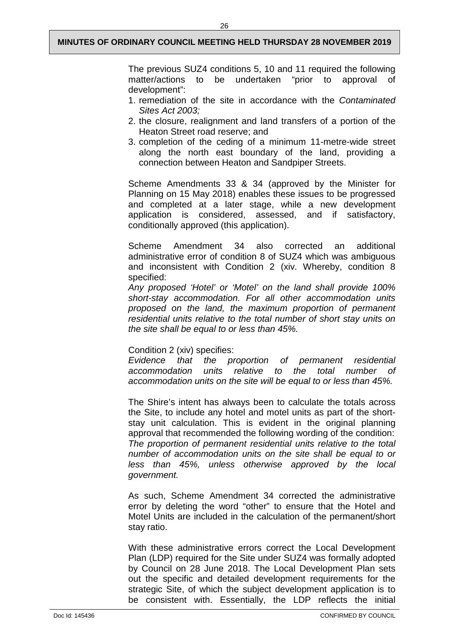The previous SUZ4 conditions 5, 10 and 11 required the following matter/actions to be undertaken "prior to approval of development":

- 1. remediation of the site in accordance with the *Contaminated Sites Act 2003;*
- 2. the closure, realignment and land transfers of a portion of the Heaton Street road reserve; and
- 3. completion of the ceding of a minimum 11-metre-wide street along the north east boundary of the land, providing a connection between Heaton and Sandpiper Streets.

Scheme Amendments 33 & 34 (approved by the Minister for Planning on 15 May 2018) enables these issues to be progressed and completed at a later stage, while a new development application is considered, assessed, and if satisfactory, conditionally approved (this application).

Scheme Amendment 34 also corrected an additional administrative error of condition 8 of SUZ4 which was ambiguous and inconsistent with Condition 2 (xiv. Whereby, condition 8 specified:

*Any proposed 'Hotel' or 'Motel' on the land shall provide 100% short-stay accommodation. For all other accommodation units proposed on the land, the maximum proportion of permanent residential units relative to the total number of short stay units on the site shall be equal to or less than 45%.* 

#### Condition 2 (xiv) specifies:

*Evidence that the proportion of permanent residential accommodation units relative to the total number of accommodation units on the site will be equal to or less than 45%.* 

The Shire's intent has always been to calculate the totals across the Site, to include any hotel and motel units as part of the shortstay unit calculation. This is evident in the original planning approval that recommended the following wording of the condition: *The proportion of permanent residential units relative to the total number of accommodation units on the site shall be equal to or less than 45%, unless otherwise approved by the local government.*

As such, Scheme Amendment 34 corrected the administrative error by deleting the word "other" to ensure that the Hotel and Motel Units are included in the calculation of the permanent/short stay ratio.

With these administrative errors correct the Local Development Plan (LDP) required for the Site under SUZ4 was formally adopted by Council on 28 June 2018. The Local Development Plan sets out the specific and detailed development requirements for the strategic Site, of which the subject development application is to be consistent with. Essentially, the LDP reflects the initial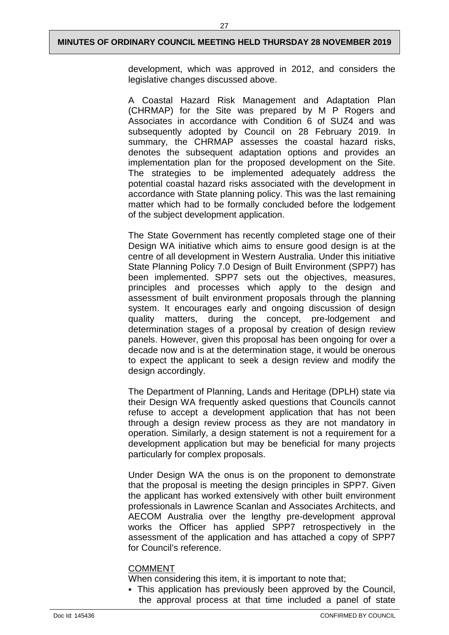development, which was approved in 2012, and considers the legislative changes discussed above.

A Coastal Hazard Risk Management and Adaptation Plan (CHRMAP) for the Site was prepared by M P Rogers and Associates in accordance with Condition 6 of SUZ4 and was subsequently adopted by Council on 28 February 2019. In summary, the CHRMAP assesses the coastal hazard risks, denotes the subsequent adaptation options and provides an implementation plan for the proposed development on the Site. The strategies to be implemented adequately address the potential coastal hazard risks associated with the development in accordance with State planning policy. This was the last remaining matter which had to be formally concluded before the lodgement of the subject development application.

The State Government has recently completed stage one of their Design WA initiative which aims to ensure good design is at the centre of all development in Western Australia. Under this initiative State Planning Policy 7.0 Design of Built Environment (SPP7) has been implemented. SPP7 sets out the objectives, measures, principles and processes which apply to the design and assessment of built environment proposals through the planning system. It encourages early and ongoing discussion of design quality matters, during the concept, pre-lodgement and determination stages of a proposal by creation of design review panels. However, given this proposal has been ongoing for over a decade now and is at the determination stage, it would be onerous to expect the applicant to seek a design review and modify the design accordingly.

The Department of Planning, Lands and Heritage (DPLH) state via their Design WA frequently asked questions that Councils cannot refuse to accept a development application that has not been through a design review process as they are not mandatory in operation. Similarly, a design statement is not a requirement for a development application but may be beneficial for many projects particularly for complex proposals.

Under Design WA the onus is on the proponent to demonstrate that the proposal is meeting the design principles in SPP7. Given the applicant has worked extensively with other built environment professionals in Lawrence Scanlan and Associates Architects, and AECOM Australia over the lengthy pre-development approval works the Officer has applied SPP7 retrospectively in the assessment of the application and has attached a copy of SPP7 for Council's reference.

#### COMMENT

- When considering this item, it is important to note that;
- This application has previously been approved by the Council, the approval process at that time included a panel of state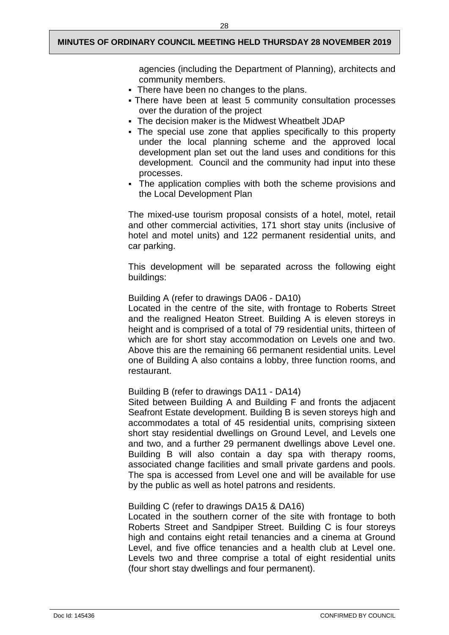agencies (including the Department of Planning), architects and community members.

- There have been no changes to the plans.
- There have been at least 5 community consultation processes over the duration of the project
- The decision maker is the Midwest Wheatbelt JDAP
- The special use zone that applies specifically to this property under the local planning scheme and the approved local development plan set out the land uses and conditions for this development. Council and the community had input into these processes.
- The application complies with both the scheme provisions and the Local Development Plan

The mixed-use tourism proposal consists of a hotel, motel, retail and other commercial activities, 171 short stay units (inclusive of hotel and motel units) and 122 permanent residential units, and car parking.

This development will be separated across the following eight buildings:

#### Building A (refer to drawings DA06 - DA10)

Located in the centre of the site, with frontage to Roberts Street and the realigned Heaton Street. Building A is eleven storeys in height and is comprised of a total of 79 residential units, thirteen of which are for short stay accommodation on Levels one and two. Above this are the remaining 66 permanent residential units. Level one of Building A also contains a lobby, three function rooms, and restaurant.

#### Building B (refer to drawings DA11 - DA14)

Sited between Building A and Building F and fronts the adjacent Seafront Estate development. Building B is seven storeys high and accommodates a total of 45 residential units, comprising sixteen short stay residential dwellings on Ground Level, and Levels one and two, and a further 29 permanent dwellings above Level one. Building B will also contain a day spa with therapy rooms, associated change facilities and small private gardens and pools. The spa is accessed from Level one and will be available for use by the public as well as hotel patrons and residents.

#### Building C (refer to drawings DA15 & DA16)

Located in the southern corner of the site with frontage to both Roberts Street and Sandpiper Street. Building C is four storeys high and contains eight retail tenancies and a cinema at Ground Level, and five office tenancies and a health club at Level one. Levels two and three comprise a total of eight residential units (four short stay dwellings and four permanent).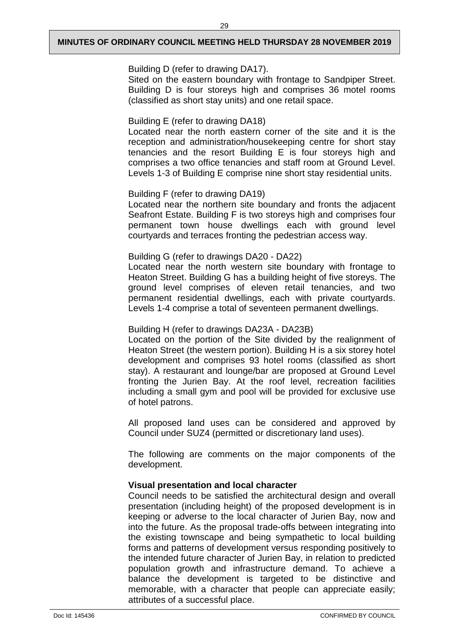Building D (refer to drawing DA17).

Sited on the eastern boundary with frontage to Sandpiper Street. Building D is four storeys high and comprises 36 motel rooms (classified as short stay units) and one retail space.

Building E (refer to drawing DA18)

Located near the north eastern corner of the site and it is the reception and administration/housekeeping centre for short stay tenancies and the resort Building E is four storeys high and comprises a two office tenancies and staff room at Ground Level. Levels 1-3 of Building E comprise nine short stay residential units.

## Building F (refer to drawing DA19)

Located near the northern site boundary and fronts the adjacent Seafront Estate. Building F is two storeys high and comprises four permanent town house dwellings each with ground level courtyards and terraces fronting the pedestrian access way.

#### Building G (refer to drawings DA20 - DA22)

Located near the north western site boundary with frontage to Heaton Street. Building G has a building height of five storeys. The ground level comprises of eleven retail tenancies, and two permanent residential dwellings, each with private courtyards. Levels 1-4 comprise a total of seventeen permanent dwellings.

## Building H (refer to drawings DA23A - DA23B)

Located on the portion of the Site divided by the realignment of Heaton Street (the western portion). Building H is a six storey hotel development and comprises 93 hotel rooms (classified as short stay). A restaurant and lounge/bar are proposed at Ground Level fronting the Jurien Bay. At the roof level, recreation facilities including a small gym and pool will be provided for exclusive use of hotel patrons.

All proposed land uses can be considered and approved by Council under SUZ4 (permitted or discretionary land uses).

The following are comments on the major components of the development.

## **Visual presentation and local character**

Council needs to be satisfied the architectural design and overall presentation (including height) of the proposed development is in keeping or adverse to the local character of Jurien Bay, now and into the future. As the proposal trade-offs between integrating into the existing townscape and being sympathetic to local building forms and patterns of development versus responding positively to the intended future character of Jurien Bay, in relation to predicted population growth and infrastructure demand. To achieve a balance the development is targeted to be distinctive and memorable, with a character that people can appreciate easily; attributes of a successful place.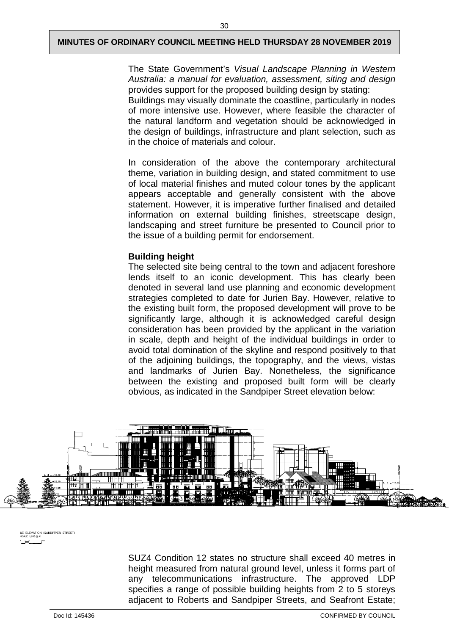The State Government's *Visual Landscape Planning in Western Australia: a manual for evaluation, assessment, siting and design* provides support for the proposed building design by stating: Buildings may visually dominate the coastline, particularly in nodes of more intensive use. However, where feasible the character of the natural landform and vegetation should be acknowledged in the design of buildings, infrastructure and plant selection, such as in the choice of materials and colour.

In consideration of the above the contemporary architectural theme, variation in building design, and stated commitment to use of local material finishes and muted colour tones by the applicant appears acceptable and generally consistent with the above statement. However, it is imperative further finalised and detailed information on external building finishes, streetscape design, landscaping and street furniture be presented to Council prior to the issue of a building permit for endorsement.

#### **Building height**

The selected site being central to the town and adjacent foreshore lends itself to an iconic development. This has clearly been denoted in several land use planning and economic development strategies completed to date for Jurien Bay. However, relative to the existing built form, the proposed development will prove to be significantly large, although it is acknowledged careful design consideration has been provided by the applicant in the variation in scale, depth and height of the individual buildings in order to avoid total domination of the skyline and respond positively to that of the adjoining buildings, the topography, and the views, vistas and landmarks of Jurien Bay. Nonetheless, the significance between the existing and proposed built form will be clearly obvious, as indicated in the Sandpiper Street elevation below:



E ELEVATION (SANDPIPER STREET)

SUZ4 Condition 12 states no structure shall exceed 40 metres in height measured from natural ground level, unless it forms part of any telecommunications infrastructure. The approved LDP specifies a range of possible building heights from 2 to 5 storeys adjacent to Roberts and Sandpiper Streets, and Seafront Estate;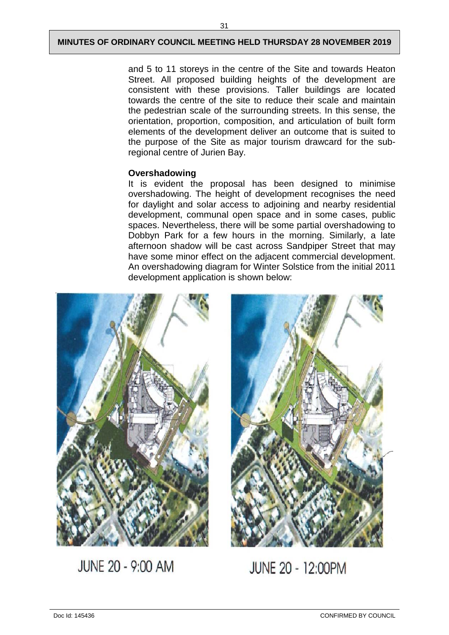and 5 to 11 storeys in the centre of the Site and towards Heaton Street. All proposed building heights of the development are consistent with these provisions. Taller buildings are located towards the centre of the site to reduce their scale and maintain the pedestrian scale of the surrounding streets. In this sense, the orientation, proportion, composition, and articulation of built form elements of the development deliver an outcome that is suited to the purpose of the Site as major tourism drawcard for the subregional centre of Jurien Bay.

## **Overshadowing**

It is evident the proposal has been designed to minimise overshadowing. The height of development recognises the need for daylight and solar access to adjoining and nearby residential development, communal open space and in some cases, public spaces. Nevertheless, there will be some partial overshadowing to Dobbyn Park for a few hours in the morning. Similarly, a late afternoon shadow will be cast across Sandpiper Street that may have some minor effect on the adjacent commercial development. An overshadowing diagram for Winter Solstice from the initial 2011 development application is shown below:



JUNE 20 - 9:00 AM



JUNE 20 - 12:00PM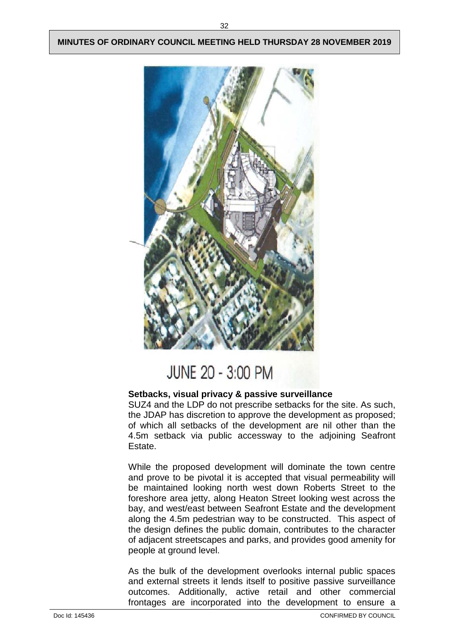

# JUNE 20 - 3:00 PM

## **Setbacks, visual privacy & passive surveillance**

SUZ4 and the LDP do not prescribe setbacks for the site. As such, the JDAP has discretion to approve the development as proposed; of which all setbacks of the development are nil other than the 4.5m setback via public accessway to the adjoining Seafront Estate.

While the proposed development will dominate the town centre and prove to be pivotal it is accepted that visual permeability will be maintained looking north west down Roberts Street to the foreshore area jetty, along Heaton Street looking west across the bay, and west/east between Seafront Estate and the development along the 4.5m pedestrian way to be constructed. This aspect of the design defines the public domain, contributes to the character of adjacent streetscapes and parks, and provides good amenity for people at ground level.

As the bulk of the development overlooks internal public spaces and external streets it lends itself to positive passive surveillance outcomes. Additionally, active retail and other commercial frontages are incorporated into the development to ensure a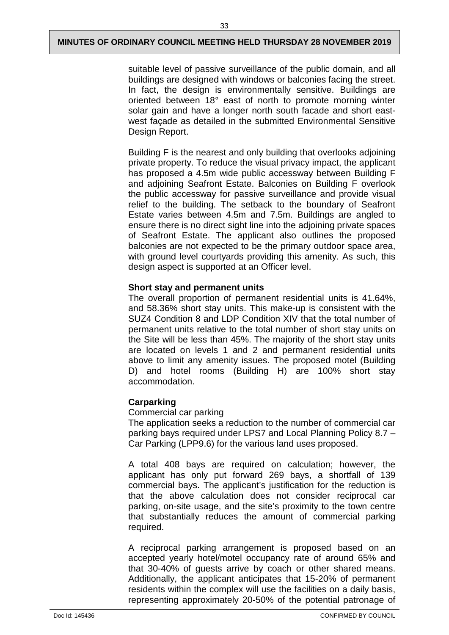suitable level of passive surveillance of the public domain, and all buildings are designed with windows or balconies facing the street. In fact, the design is environmentally sensitive. Buildings are oriented between 18° east of north to promote morning winter solar gain and have a longer north south facade and short eastwest façade as detailed in the submitted Environmental Sensitive Design Report.

Building F is the nearest and only building that overlooks adjoining private property. To reduce the visual privacy impact, the applicant has proposed a 4.5m wide public accessway between Building F and adjoining Seafront Estate. Balconies on Building F overlook the public accessway for passive surveillance and provide visual relief to the building. The setback to the boundary of Seafront Estate varies between 4.5m and 7.5m. Buildings are angled to ensure there is no direct sight line into the adjoining private spaces of Seafront Estate. The applicant also outlines the proposed balconies are not expected to be the primary outdoor space area, with ground level courtyards providing this amenity. As such, this design aspect is supported at an Officer level.

## **Short stay and permanent units**

The overall proportion of permanent residential units is 41.64%, and 58.36% short stay units. This make-up is consistent with the SUZ4 Condition 8 and LDP Condition XIV that the total number of permanent units relative to the total number of short stay units on the Site will be less than 45%. The majority of the short stay units are located on levels 1 and 2 and permanent residential units above to limit any amenity issues. The proposed motel (Building D) and hotel rooms (Building H) are 100% short stay accommodation.

## **Carparking**

Commercial car parking

The application seeks a reduction to the number of commercial car parking bays required under LPS7 and Local Planning Policy 8.7 – Car Parking (LPP9.6) for the various land uses proposed.

A total 408 bays are required on calculation; however, the applicant has only put forward 269 bays, a shortfall of 139 commercial bays. The applicant's justification for the reduction is that the above calculation does not consider reciprocal car parking, on-site usage, and the site's proximity to the town centre that substantially reduces the amount of commercial parking required.

A reciprocal parking arrangement is proposed based on an accepted yearly hotel/motel occupancy rate of around 65% and that 30-40% of guests arrive by coach or other shared means. Additionally, the applicant anticipates that 15-20% of permanent residents within the complex will use the facilities on a daily basis, representing approximately 20-50% of the potential patronage of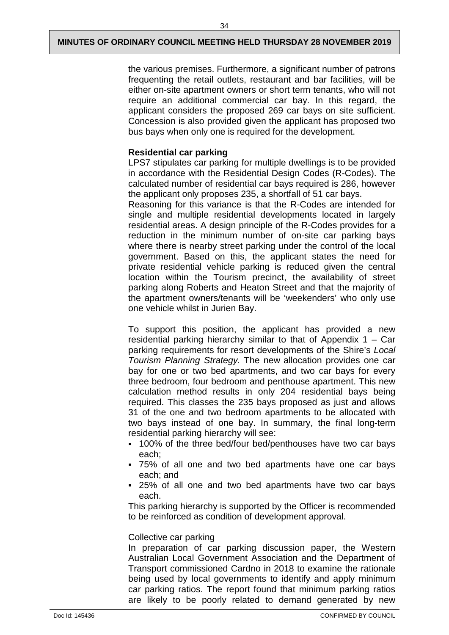the various premises. Furthermore, a significant number of patrons frequenting the retail outlets, restaurant and bar facilities, will be either on-site apartment owners or short term tenants, who will not require an additional commercial car bay. In this regard, the applicant considers the proposed 269 car bays on site sufficient. Concession is also provided given the applicant has proposed two bus bays when only one is required for the development.

## **Residential car parking**

LPS7 stipulates car parking for multiple dwellings is to be provided in accordance with the Residential Design Codes (R-Codes). The calculated number of residential car bays required is 286, however the applicant only proposes 235, a shortfall of 51 car bays.

Reasoning for this variance is that the R-Codes are intended for single and multiple residential developments located in largely residential areas. A design principle of the R-Codes provides for a reduction in the minimum number of on-site car parking bays where there is nearby street parking under the control of the local government. Based on this, the applicant states the need for private residential vehicle parking is reduced given the central location within the Tourism precinct, the availability of street parking along Roberts and Heaton Street and that the majority of the apartment owners/tenants will be 'weekenders' who only use one vehicle whilst in Jurien Bay.

To support this position, the applicant has provided a new residential parking hierarchy similar to that of Appendix 1 – Car parking requirements for resort developments of the Shire's *Local Tourism Planning Strategy.* The new allocation provides one car bay for one or two bed apartments, and two car bays for every three bedroom, four bedroom and penthouse apartment. This new calculation method results in only 204 residential bays being required. This classes the 235 bays proposed as just and allows 31 of the one and two bedroom apartments to be allocated with two bays instead of one bay. In summary, the final long-term residential parking hierarchy will see:

- 100% of the three bed/four bed/penthouses have two car bays each;
- 75% of all one and two bed apartments have one car bays each; and
- 25% of all one and two bed apartments have two car bays each.

This parking hierarchy is supported by the Officer is recommended to be reinforced as condition of development approval.

#### Collective car parking

In preparation of car parking discussion paper, the Western Australian Local Government Association and the Department of Transport commissioned Cardno in 2018 to examine the rationale being used by local governments to identify and apply minimum car parking ratios. The report found that minimum parking ratios are likely to be poorly related to demand generated by new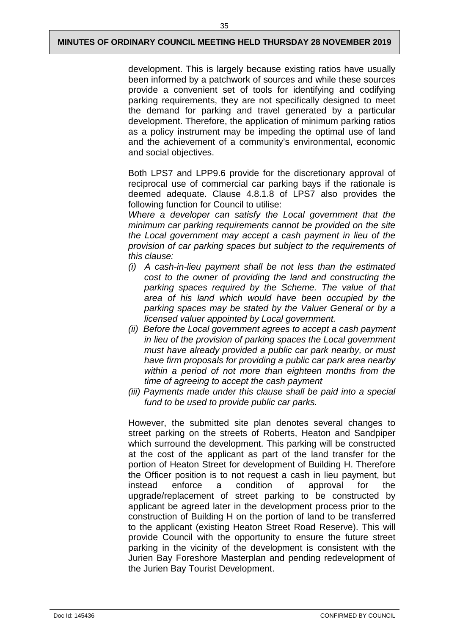development. This is largely because existing ratios have usually been informed by a patchwork of sources and while these sources provide a convenient set of tools for identifying and codifying parking requirements, they are not specifically designed to meet the demand for parking and travel generated by a particular development. Therefore, the application of minimum parking ratios as a policy instrument may be impeding the optimal use of land and the achievement of a community's environmental, economic and social objectives.

Both LPS7 and LPP9.6 provide for the discretionary approval of reciprocal use of commercial car parking bays if the rationale is deemed adequate. Clause 4.8.1.8 of LPS7 also provides the following function for Council to utilise:

*Where a developer can satisfy the Local government that the minimum car parking requirements cannot be provided on the site the Local government may accept a cash payment in lieu of the provision of car parking spaces but subject to the requirements of this clause:*

- *(i) A cash-in-lieu payment shall be not less than the estimated cost to the owner of providing the land and constructing the parking spaces required by the Scheme. The value of that area of his land which would have been occupied by the parking spaces may be stated by the Valuer General or by a licensed valuer appointed by Local government.*
- *(ii) Before the Local government agrees to accept a cash payment in lieu of the provision of parking spaces the Local government must have already provided a public car park nearby, or must have firm proposals for providing a public car park area nearby within a period of not more than eighteen months from the time of agreeing to accept the cash payment*
- *(iii) Payments made under this clause shall be paid into a special fund to be used to provide public car parks.*

However, the submitted site plan denotes several changes to street parking on the streets of Roberts, Heaton and Sandpiper which surround the development. This parking will be constructed at the cost of the applicant as part of the land transfer for the portion of Heaton Street for development of Building H. Therefore the Officer position is to not request a cash in lieu payment, but instead enforce a condition of approval for the upgrade/replacement of street parking to be constructed by applicant be agreed later in the development process prior to the construction of Building H on the portion of land to be transferred to the applicant (existing Heaton Street Road Reserve). This will provide Council with the opportunity to ensure the future street parking in the vicinity of the development is consistent with the Jurien Bay Foreshore Masterplan and pending redevelopment of the Jurien Bay Tourist Development.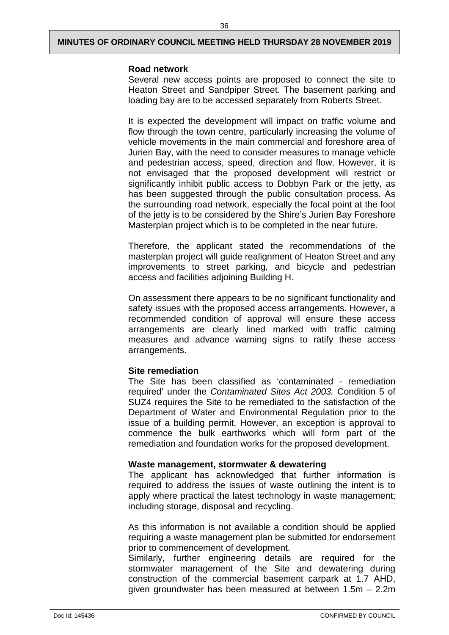#### **Road network**

Several new access points are proposed to connect the site to Heaton Street and Sandpiper Street. The basement parking and loading bay are to be accessed separately from Roberts Street.

It is expected the development will impact on traffic volume and flow through the town centre, particularly increasing the volume of vehicle movements in the main commercial and foreshore area of Jurien Bay, with the need to consider measures to manage vehicle and pedestrian access, speed, direction and flow. However, it is not envisaged that the proposed development will restrict or significantly inhibit public access to Dobbyn Park or the jetty, as has been suggested through the public consultation process. As the surrounding road network, especially the focal point at the foot of the jetty is to be considered by the Shire's Jurien Bay Foreshore Masterplan project which is to be completed in the near future.

Therefore, the applicant stated the recommendations of the masterplan project will guide realignment of Heaton Street and any improvements to street parking, and bicycle and pedestrian access and facilities adjoining Building H.

On assessment there appears to be no significant functionality and safety issues with the proposed access arrangements. However, a recommended condition of approval will ensure these access arrangements are clearly lined marked with traffic calming measures and advance warning signs to ratify these access arrangements.

#### **Site remediation**

The Site has been classified as 'contaminated - remediation required' under the *Contaminated Sites Act 2003.* Condition 5 of SUZ4 requires the Site to be remediated to the satisfaction of the Department of Water and Environmental Regulation prior to the issue of a building permit. However, an exception is approval to commence the bulk earthworks which will form part of the remediation and foundation works for the proposed development.

#### **Waste management, stormwater & dewatering**

The applicant has acknowledged that further information is required to address the issues of waste outlining the intent is to apply where practical the latest technology in waste management; including storage, disposal and recycling.

As this information is not available a condition should be applied requiring a waste management plan be submitted for endorsement prior to commencement of development.

Similarly, further engineering details are required for the stormwater management of the Site and dewatering during construction of the commercial basement carpark at 1.7 AHD, given groundwater has been measured at between 1.5m – 2.2m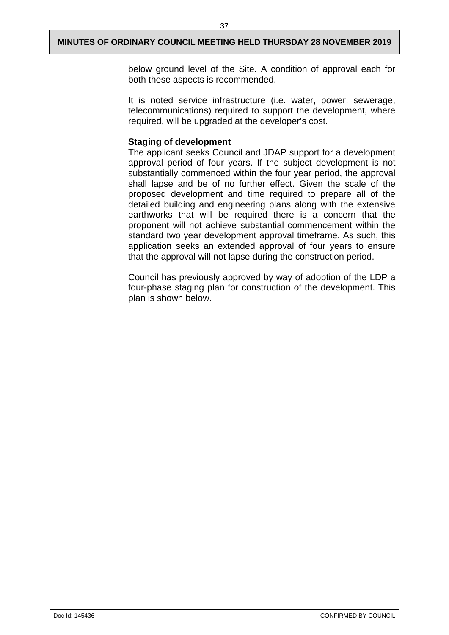below ground level of the Site. A condition of approval each for both these aspects is recommended.

It is noted service infrastructure (i.e. water, power, sewerage, telecommunications) required to support the development, where required, will be upgraded at the developer's cost.

## **Staging of development**

The applicant seeks Council and JDAP support for a development approval period of four years. If the subject development is not substantially commenced within the four year period, the approval shall lapse and be of no further effect. Given the scale of the proposed development and time required to prepare all of the detailed building and engineering plans along with the extensive earthworks that will be required there is a concern that the proponent will not achieve substantial commencement within the standard two year development approval timeframe. As such, this application seeks an extended approval of four years to ensure that the approval will not lapse during the construction period.

Council has previously approved by way of adoption of the LDP a four-phase staging plan for construction of the development. This plan is shown below.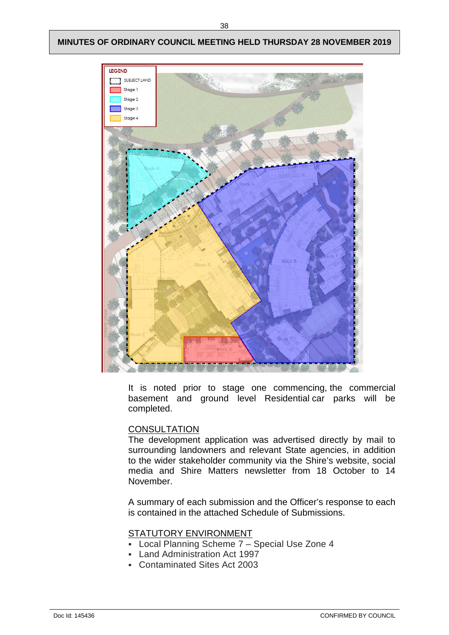

It is noted prior to stage one commencing, the commercial basement and ground level Residential car parks will be completed.

#### **CONSULTATION**

The development application was advertised directly by mail to surrounding landowners and relevant State agencies, in addition to the wider stakeholder community via the Shire's website, social media and Shire Matters newsletter from 18 October to 14 November.

A summary of each submission and the Officer's response to each is contained in the attached Schedule of Submissions.

## STATUTORY ENVIRONMENT

- Local Planning Scheme 7 Special Use Zone 4
- Land Administration Act 1997
- Contaminated Sites Act 2003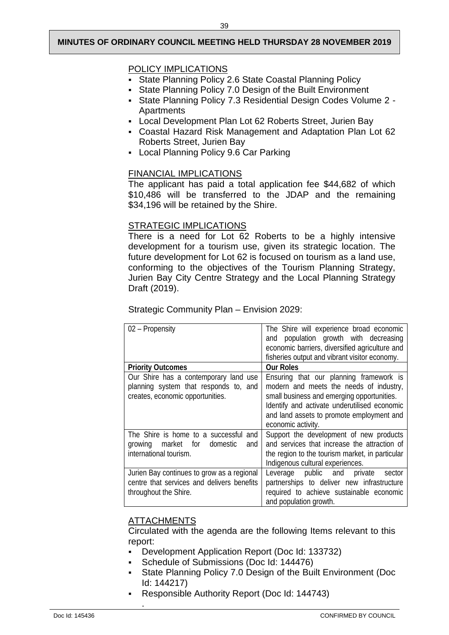## POLICY IMPLICATIONS

- State Planning Policy 2.6 State Coastal Planning Policy
- State Planning Policy 7.0 Design of the Built Environment
- State Planning Policy 7.3 Residential Design Codes Volume 2 **Apartments**
- Local Development Plan Lot 62 Roberts Street, Jurien Bay
- Coastal Hazard Risk Management and Adaptation Plan Lot 62 Roberts Street, Jurien Bay
- Local Planning Policy 9.6 Car Parking

## FINANCIAL IMPLICATIONS

The applicant has paid a total application fee \$44,682 of which \$10,486 will be transferred to the JDAP and the remaining \$34,196 will be retained by the Shire.

## STRATEGIC IMPLICATIONS

There is a need for Lot 62 Roberts to be a highly intensive development for a tourism use, given its strategic location. The future development for Lot 62 is focused on tourism as a land use, conforming to the objectives of the Tourism Planning Strategy, Jurien Bay City Centre Strategy and the Local Planning Strategy Draft (2019).

## Strategic Community Plan – Envision 2029:

| 02 - Propensity                                                                | The Shire will experience broad economic<br>and population growth with decreasing         |
|--------------------------------------------------------------------------------|-------------------------------------------------------------------------------------------|
|                                                                                | economic barriers, diversified agriculture and                                            |
|                                                                                | fisheries output and vibrant visitor economy.                                             |
| <b>Priority Outcomes</b>                                                       | <b>Our Roles</b>                                                                          |
| Our Shire has a contemporary land use<br>planning system that responds to, and | Ensuring that our planning framework is<br>modern and meets the needs of industry,        |
| creates, economic opportunities.                                               | small business and emerging opportunities.                                                |
|                                                                                | Identify and activate underutilised economic<br>and land assets to promote employment and |
|                                                                                | economic activity.                                                                        |
| The Shire is home to a successful and                                          | Support the development of new products                                                   |
| growing market for<br>domestic<br>and                                          | and services that increase the attraction of                                              |
| international tourism.                                                         | the region to the tourism market, in particular                                           |
|                                                                                | Indigenous cultural experiences.                                                          |
| Jurien Bay continues to grow as a regional                                     | Leverage public and<br>private<br>sector                                                  |
| centre that services and delivers benefits                                     | partnerships to deliver new infrastructure                                                |
| throughout the Shire.                                                          | required to achieve sustainable economic                                                  |
|                                                                                | and population growth.                                                                    |

## **ATTACHMENTS**

.

Circulated with the agenda are the following Items relevant to this report:

- Development Application Report (Doc Id: 133732)
- Schedule of Submissions (Doc Id: 144476)
- State Planning Policy 7.0 Design of the Built Environment (Doc Id: 144217)
- Responsible Authority Report (Doc Id: 144743)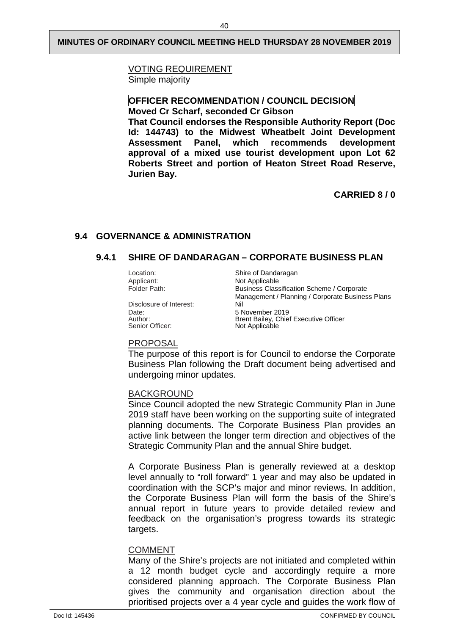## VOTING REQUIREMENT

Simple majority

## **OFFICER RECOMMENDATION / COUNCIL DECISION**

**Moved Cr Scharf, seconded Cr Gibson**

**That Council endorses the Responsible Authority Report (Doc Id: 144743) to the Midwest Wheatbelt Joint Development Assessment Panel, which recommends development approval of a mixed use tourist development upon Lot 62 Roberts Street and portion of Heaton Street Road Reserve, Jurien Bay.**

**CARRIED 8 / 0** 

## <span id="page-42-1"></span><span id="page-42-0"></span>**9.4 GOVERNANCE & ADMINISTRATION**

## **9.4.1 SHIRE OF DANDARAGAN – CORPORATE BUSINESS PLAN**

Disclosure of Interest:<br>Date: Date: 5 November 2019 Senior Officer: Not Applicable

Location: Shire of Dandaragan<br>Applicant: Not Applicable Applicant: Not Applicable<br>Folder Path: Not Applicable Business Classification Scheme / Corporate Management / Planning / Corporate Business Plans Author: **Brent Bailey, Chief Executive Officer** 

#### PROPOSAL

The purpose of this report is for Council to endorse the Corporate Business Plan following the Draft document being advertised and undergoing minor updates.

#### BACKGROUND

Since Council adopted the new Strategic Community Plan in June 2019 staff have been working on the supporting suite of integrated planning documents. The Corporate Business Plan provides an active link between the longer term direction and objectives of the Strategic Community Plan and the annual Shire budget.

A Corporate Business Plan is generally reviewed at a desktop level annually to "roll forward" 1 year and may also be updated in coordination with the SCP's major and minor reviews. In addition, the Corporate Business Plan will form the basis of the Shire's annual report in future years to provide detailed review and feedback on the organisation's progress towards its strategic targets.

#### COMMENT

Many of the Shire's projects are not initiated and completed within a 12 month budget cycle and accordingly require a more considered planning approach. The Corporate Business Plan gives the community and organisation direction about the prioritised projects over a 4 year cycle and guides the work flow of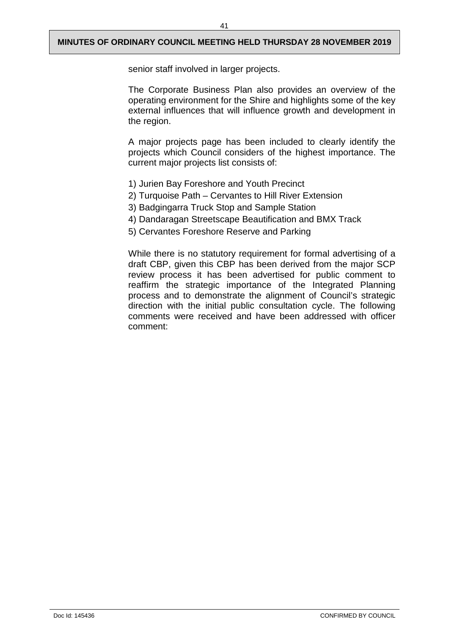senior staff involved in larger projects.

The Corporate Business Plan also provides an overview of the operating environment for the Shire and highlights some of the key external influences that will influence growth and development in the region.

A major projects page has been included to clearly identify the projects which Council considers of the highest importance. The current major projects list consists of:

- 1) Jurien Bay Foreshore and Youth Precinct
- 2) Turquoise Path Cervantes to Hill River Extension
- 3) Badgingarra Truck Stop and Sample Station
- 4) Dandaragan Streetscape Beautification and BMX Track
- 5) Cervantes Foreshore Reserve and Parking

While there is no statutory requirement for formal advertising of a draft CBP, given this CBP has been derived from the major SCP review process it has been advertised for public comment to reaffirm the strategic importance of the Integrated Planning process and to demonstrate the alignment of Council's strategic direction with the initial public consultation cycle. The following comments were received and have been addressed with officer comment: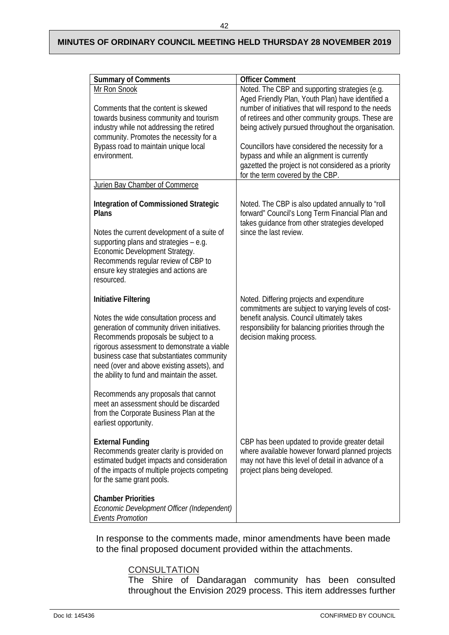42

| <b>Summary of Comments</b>                                                                                                                                                                                                                                                                                               | <b>Officer Comment</b>                                                                                                                                                                    |  |
|--------------------------------------------------------------------------------------------------------------------------------------------------------------------------------------------------------------------------------------------------------------------------------------------------------------------------|-------------------------------------------------------------------------------------------------------------------------------------------------------------------------------------------|--|
| Mr Ron Snook                                                                                                                                                                                                                                                                                                             | Noted. The CBP and supporting strategies (e.g.                                                                                                                                            |  |
|                                                                                                                                                                                                                                                                                                                          | Aged Friendly Plan, Youth Plan) have identified a                                                                                                                                         |  |
| Comments that the content is skewed                                                                                                                                                                                                                                                                                      | number of initiatives that will respond to the needs                                                                                                                                      |  |
| towards business community and tourism                                                                                                                                                                                                                                                                                   | of retirees and other community groups. These are                                                                                                                                         |  |
| industry while not addressing the retired                                                                                                                                                                                                                                                                                | being actively pursued throughout the organisation.                                                                                                                                       |  |
| community. Promotes the necessity for a                                                                                                                                                                                                                                                                                  |                                                                                                                                                                                           |  |
| Bypass road to maintain unique local<br>environment.                                                                                                                                                                                                                                                                     | Councillors have considered the necessity for a                                                                                                                                           |  |
|                                                                                                                                                                                                                                                                                                                          | bypass and while an alignment is currently<br>gazetted the project is not considered as a priority                                                                                        |  |
|                                                                                                                                                                                                                                                                                                                          | for the term covered by the CBP.                                                                                                                                                          |  |
| Jurien Bay Chamber of Commerce                                                                                                                                                                                                                                                                                           |                                                                                                                                                                                           |  |
|                                                                                                                                                                                                                                                                                                                          |                                                                                                                                                                                           |  |
| <b>Integration of Commissioned Strategic</b><br><b>Plans</b>                                                                                                                                                                                                                                                             | Noted. The CBP is also updated annually to "roll<br>forward" Council's Long Term Financial Plan and<br>takes quidance from other strategies developed                                     |  |
| Notes the current development of a suite of<br>supporting plans and strategies - e.g.<br>Economic Development Strategy.<br>Recommends regular review of CBP to<br>ensure key strategies and actions are<br>resourced.                                                                                                    | since the last review.                                                                                                                                                                    |  |
| <b>Initiative Filtering</b>                                                                                                                                                                                                                                                                                              | Noted. Differing projects and expenditure                                                                                                                                                 |  |
| Notes the wide consultation process and<br>generation of community driven initiatives.<br>Recommends proposals be subject to a<br>rigorous assessment to demonstrate a viable<br>business case that substantiates community<br>need (over and above existing assets), and<br>the ability to fund and maintain the asset. | commitments are subject to varying levels of cost-<br>benefit analysis. Council ultimately takes<br>responsibility for balancing priorities through the<br>decision making process.       |  |
| Recommends any proposals that cannot<br>meet an assessment should be discarded<br>from the Corporate Business Plan at the<br>earliest opportunity.                                                                                                                                                                       |                                                                                                                                                                                           |  |
| <b>External Funding</b><br>Recommends greater clarity is provided on<br>estimated budget impacts and consideration<br>of the impacts of multiple projects competing<br>for the same grant pools.                                                                                                                         | CBP has been updated to provide greater detail<br>where available however forward planned projects<br>may not have this level of detail in advance of a<br>project plans being developed. |  |
| <b>Chamber Priorities</b><br>Economic Development Officer (Independent)<br><b>Events Promotion</b>                                                                                                                                                                                                                       |                                                                                                                                                                                           |  |

In response to the comments made, minor amendments have been made to the final proposed document provided within the attachments.

## <u>CONSULTATION</u>

The Shire of Dandaragan community has been consulted throughout the Envision 2029 process. This item addresses further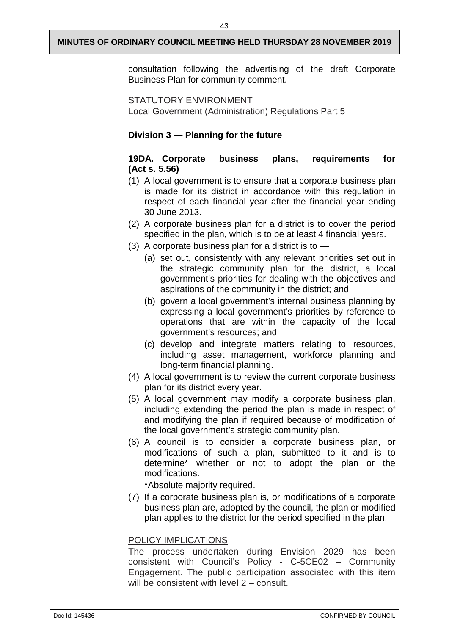consultation following the advertising of the draft Corporate Business Plan for community comment.

#### STATUTORY ENVIRONMENT

Local Government (Administration) Regulations Part 5

## **Division 3 — Planning for the future**

## **19DA. Corporate business plans, requirements for (Act s. 5.56)**

- (1) A local government is to ensure that a corporate business plan is made for its district in accordance with this regulation in respect of each financial year after the financial year ending 30 June 2013.
- (2) A corporate business plan for a district is to cover the period specified in the plan, which is to be at least 4 financial years.
- (3) A corporate business plan for a district is to
	- (a) set out, consistently with any relevant priorities set out in the strategic community plan for the district, a local government's priorities for dealing with the objectives and aspirations of the community in the district; and
	- (b) govern a local government's internal business planning by expressing a local government's priorities by reference to operations that are within the capacity of the local government's resources; and
	- (c) develop and integrate matters relating to resources, including asset management, workforce planning and long-term financial planning.
- (4) A local government is to review the current corporate business plan for its district every year.
- (5) A local government may modify a corporate business plan, including extending the period the plan is made in respect of and modifying the plan if required because of modification of the local government's strategic community plan.
- (6) A council is to consider a corporate business plan, or modifications of such a plan, submitted to it and is to determine\* whether or not to adopt the plan or the modifications.

\*Absolute majority required.

(7) If a corporate business plan is, or modifications of a corporate business plan are, adopted by the council, the plan or modified plan applies to the district for the period specified in the plan.

## POLICY IMPLICATIONS

The process undertaken during Envision 2029 has been consistent with Council's Policy - C-5CE02 – Community Engagement. The public participation associated with this item will be consistent with level 2 – consult.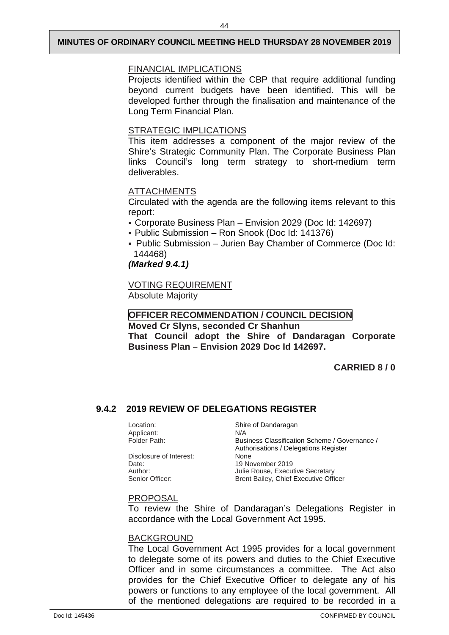## FINANCIAL IMPLICATIONS

Projects identified within the CBP that require additional funding beyond current budgets have been identified. This will be developed further through the finalisation and maintenance of the Long Term Financial Plan.

## STRATEGIC IMPLICATIONS

This item addresses a component of the major review of the Shire's Strategic Community Plan. The Corporate Business Plan links Council's long term strategy to short-medium term deliverables.

## ATTACHMENTS

Circulated with the agenda are the following items relevant to this report:

- Corporate Business Plan Envision 2029 (Doc Id: 142697)
- Public Submission Ron Snook (Doc Id: 141376)
- Public Submission Jurien Bay Chamber of Commerce (Doc Id: 144468)

## *(Marked 9.4.1)*

VOTING REQUIREMENT Absolute Majority

## **OFFICER RECOMMENDATION / COUNCIL DECISION**

**Moved Cr Slyns, seconded Cr Shanhun**

**That Council adopt the Shire of Dandaragan Corporate Business Plan – Envision 2029 Doc Id 142697.** 

## **CARRIED 8 / 0**

## <span id="page-46-0"></span>**9.4.2 2019 REVIEW OF DELEGATIONS REGISTER**

Applicant: N/A<br>Folder Path: Bus

Disclosure of Interest:<br>Date: Date: 19 November 2019<br>Author: 19 November 2019<br>Author: 19 November 2019

Location: Shire of Dandaragan Business Classification Scheme / Governance / Authorisations / Delegations Register<br>None Author: Julie Rouse, Executive Secretary<br>
Senior Officer: Senior Brent Bailey. Chief Executive Officer Brent Bailey, Chief Executive Officer

## PROPOSAL

To review the Shire of Dandaragan's Delegations Register in accordance with the Local Government Act 1995.

## BACKGROUND

The Local Government Act 1995 provides for a local government to delegate some of its powers and duties to the Chief Executive Officer and in some circumstances a committee. The Act also provides for the Chief Executive Officer to delegate any of his powers or functions to any employee of the local government. All of the mentioned delegations are required to be recorded in a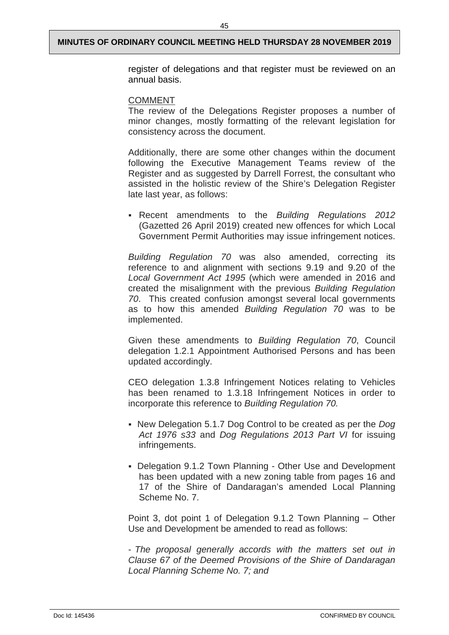register of delegations and that register must be reviewed on an annual basis.

#### COMMENT

The review of the Delegations Register proposes a number of minor changes, mostly formatting of the relevant legislation for consistency across the document.

Additionally, there are some other changes within the document following the Executive Management Teams review of the Register and as suggested by Darrell Forrest, the consultant who assisted in the holistic review of the Shire's Delegation Register late last year, as follows:

 Recent amendments to the *Building Regulations 2012* (Gazetted 26 April 2019) created new offences for which Local Government Permit Authorities may issue infringement notices.

*Building Regulation 70* was also amended, correcting its reference to and alignment with sections 9.19 and 9.20 of the *Local Government Act 1995* (which were amended in 2016 and created the misalignment with the previous *Building Regulation 70*. This created confusion amongst several local governments as to how this amended *Building Regulation 70* was to be implemented.

Given these amendments to *Building Regulation 70*, Council delegation 1.2.1 Appointment Authorised Persons and has been updated accordingly.

CEO delegation 1.3.8 Infringement Notices relating to Vehicles has been renamed to 1.3.18 Infringement Notices in order to incorporate this reference to *Building Regulation 70.*

- New Delegation 5.1.7 Dog Control to be created as per the *Dog Act 1976 s33* and *Dog Regulations 2013 Part VI* for issuing infringements.
- Delegation 9.1.2 Town Planning Other Use and Development has been updated with a new zoning table from pages 16 and 17 of the Shire of Dandaragan's amended Local Planning Scheme No. 7.

Point 3, dot point 1 of Delegation 9.1.2 Town Planning – Other Use and Development be amended to read as follows:

- *The proposal generally accords with the matters set out in Clause 67 of the Deemed Provisions of the Shire of Dandaragan Local Planning Scheme No. 7; and*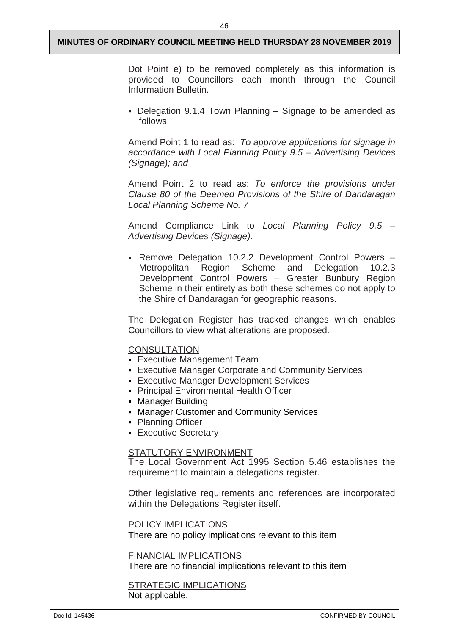Dot Point e) to be removed completely as this information is provided to Councillors each month through the Council Information Bulletin.

 Delegation 9.1.4 Town Planning – Signage to be amended as follows:

Amend Point 1 to read as: *To approve applications for signage in accordance with Local Planning Policy 9.5 – Advertising Devices (Signage); and*

Amend Point 2 to read as: *To enforce the provisions under Clause 80 of the Deemed Provisions of the Shire of Dandaragan Local Planning Scheme No. 7*

Amend Compliance Link to *Local Planning Policy 9.5 – Advertising Devices (Signage).*

 Remove Delegation 10.2.2 Development Control Powers – Metropolitan Region Scheme and Delegation 10.2.3 Development Control Powers – Greater Bunbury Region Scheme in their entirety as both these schemes do not apply to the Shire of Dandaragan for geographic reasons.

The Delegation Register has tracked changes which enables Councillors to view what alterations are proposed.

#### **CONSULTATION**

- **Executive Management Team**
- Executive Manager Corporate and Community Services
- Executive Manager Development Services
- Principal Environmental Health Officer
- **Manager Building**
- Manager Customer and Community Services
- Planning Officer
- **Executive Secretary**

## STATUTORY ENVIRONMENT

The Local Government Act 1995 Section 5.46 establishes the requirement to maintain a delegations register.

Other legislative requirements and references are incorporated within the Delegations Register itself.

#### POLICY IMPLICATIONS

There are no policy implications relevant to this item

#### FINANCIAL IMPLICATIONS

There are no financial implications relevant to this item

## **STRATEGIC IMPLICATIONS** Not applicable.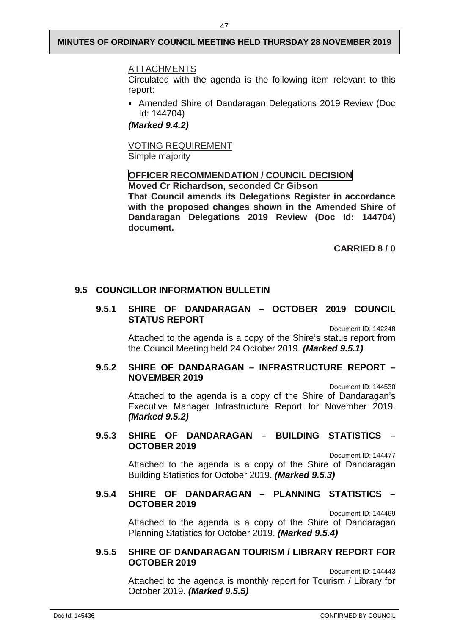#### ATTACHMENTS

Circulated with the agenda is the following item relevant to this report:

 Amended Shire of Dandaragan Delegations 2019 Review (Doc Id: 144704)

*(Marked 9.4.2)*

VOTING REQUIREMENT Simple majority

## **OFFICER RECOMMENDATION / COUNCIL DECISION**

**Moved Cr Richardson, seconded Cr Gibson That Council amends its Delegations Register in accordance with the proposed changes shown in the Amended Shire of Dandaragan Delegations 2019 Review (Doc Id: 144704) document.**

**CARRIED 8 / 0** 

## <span id="page-49-1"></span><span id="page-49-0"></span>**9.5 COUNCILLOR INFORMATION BULLETIN**

## **9.5.1 SHIRE OF DANDARAGAN – OCTOBER 2019 COUNCIL STATUS REPORT**

Document ID: 142248

Attached to the agenda is a copy of the Shire's status report from the Council Meeting held 24 October 2019. *(Marked 9.5.1)*

## <span id="page-49-2"></span>**9.5.2 SHIRE OF DANDARAGAN – INFRASTRUCTURE REPORT – NOVEMBER 2019**

Document ID: 144530

Attached to the agenda is a copy of the Shire of Dandaragan's Executive Manager Infrastructure Report for November 2019. *(Marked 9.5.2)*

## <span id="page-49-3"></span>**9.5.3 SHIRE OF DANDARAGAN – BUILDING STATISTICS – OCTOBER 2019**

Document ID: 144477

Attached to the agenda is a copy of the Shire of Dandaragan Building Statistics for October 2019. *(Marked 9.5.3)*

## <span id="page-49-4"></span>**9.5.4 SHIRE OF DANDARAGAN – PLANNING STATISTICS – OCTOBER 2019**

Document ID: 144469

Attached to the agenda is a copy of the Shire of Dandaragan Planning Statistics for October 2019. *(Marked 9.5.4)*

#### <span id="page-49-5"></span>**9.5.5 SHIRE OF DANDARAGAN TOURISM / LIBRARY REPORT FOR OCTOBER 2019**

Document ID: 144443 Attached to the agenda is monthly report for Tourism / Library for October 2019. *(Marked 9.5.5)*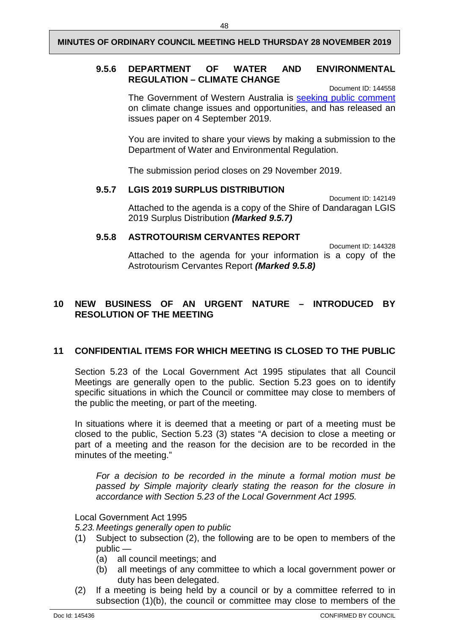## <span id="page-50-0"></span>**9.5.6 DEPARTMENT OF WATER AND ENVIRONMENTAL REGULATION – CLIMATE CHANGE**

Document ID: 144558 The Government of Western Australia is [seeking public comment](https://aus01.safelinks.protection.outlook.com/?url=https%3A%2F%2Fconsult.dwer.wa.gov.au%2Fclimatechange%2Fissues-paper%2F&data=02%7C01%7CNeil.Aldum%40dwer.wa.gov.au%7C7cfc1acf9b8b4b46115c08d755e46390%7C53ebe217aa1e46feb88e9d762dec2ef6%7C0%7C0%7C637072311728635074&sdata=6H4%2FmdIz1Aaz7%2Bu%2BAyo3pcxJ4ZuU8xuFx%2FcT4Qm5EfI%3D&reserved=0) on climate change issues and opportunities, and has released an issues paper on 4 September 2019.

You are invited to share your views by making a submission to the Department of Water and Environmental Regulation.

The submission period closes on 29 November 2019.

## <span id="page-50-1"></span>**9.5.7 LGIS 2019 SURPLUS DISTRIBUTION**

Document ID: 142149 Attached to the agenda is a copy of the Shire of Dandaragan LGIS 2019 Surplus Distribution *(Marked 9.5.7)*

## <span id="page-50-2"></span>**9.5.8 ASTROTOURISM CERVANTES REPORT**

Document ID: 144328 Attached to the agenda for your information is a copy of the Astrotourism Cervantes Report *(Marked 9.5.8)*

## <span id="page-50-3"></span>**10 NEW BUSINESS OF AN URGENT NATURE – INTRODUCED BY RESOLUTION OF THE MEETING**

## <span id="page-50-4"></span>**11 CONFIDENTIAL ITEMS FOR WHICH MEETING IS CLOSED TO THE PUBLIC**

Section 5.23 of the Local Government Act 1995 stipulates that all Council Meetings are generally open to the public. Section 5.23 goes on to identify specific situations in which the Council or committee may close to members of the public the meeting, or part of the meeting.

In situations where it is deemed that a meeting or part of a meeting must be closed to the public, Section 5.23 (3) states "A decision to close a meeting or part of a meeting and the reason for the decision are to be recorded in the minutes of the meeting."

*For a decision to be recorded in the minute a formal motion must be passed by Simple majority clearly stating the reason for the closure in accordance with Section 5.23 of the Local Government Act 1995.*

Local Government Act 1995

*5.23.Meetings generally open to public*

- (1) Subject to subsection (2), the following are to be open to members of the public —
	- (a) all council meetings; and
	- (b) all meetings of any committee to which a local government power or duty has been delegated.
- (2) If a meeting is being held by a council or by a committee referred to in subsection (1)(b), the council or committee may close to members of the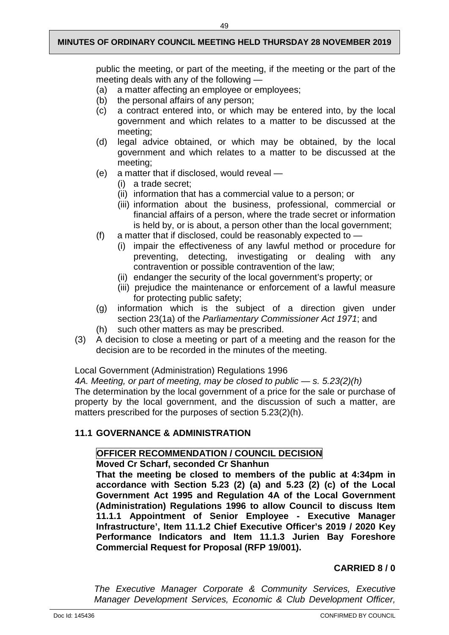public the meeting, or part of the meeting, if the meeting or the part of the meeting deals with any of the following —

- (a) a matter affecting an employee or employees;
- (b) the personal affairs of any person;
- (c) a contract entered into, or which may be entered into, by the local government and which relates to a matter to be discussed at the meeting;
- (d) legal advice obtained, or which may be obtained, by the local government and which relates to a matter to be discussed at the meeting;
- (e) a matter that if disclosed, would reveal
	- (i) a trade secret;
	- (ii) information that has a commercial value to a person; or
	- (iii) information about the business, professional, commercial or financial affairs of a person, where the trade secret or information is held by, or is about, a person other than the local government;
- (f) a matter that if disclosed, could be reasonably expected to  $-$ 
	- (i) impair the effectiveness of any lawful method or procedure for preventing, detecting, investigating or dealing with any contravention or possible contravention of the law;
	- (ii) endanger the security of the local government's property; or
	- (iii) prejudice the maintenance or enforcement of a lawful measure for protecting public safety;
- (g) information which is the subject of a direction given under section 23(1a) of the *Parliamentary Commissioner Act 1971*; and
- (h) such other matters as may be prescribed.
- (3) A decision to close a meeting or part of a meeting and the reason for the decision are to be recorded in the minutes of the meeting.

Local Government (Administration) Regulations 1996

*4A. Meeting, or part of meeting, may be closed to public — s. 5.23(2)(h)*

The determination by the local government of a price for the sale or purchase of property by the local government, and the discussion of such a matter, are matters prescribed for the purposes of section 5.23(2)(h).

## <span id="page-51-0"></span>**11.1 GOVERNANCE & ADMINISTRATION**

## **OFFICER RECOMMENDATION / COUNCIL DECISION**

## **Moved Cr Scharf, seconded Cr Shanhun**

**That the meeting be closed to members of the public at 4:34pm in accordance with Section 5.23 (2) (a) and 5.23 (2) (c) of the Local Government Act 1995 and Regulation 4A of the Local Government (Administration) Regulations 1996 to allow Council to discuss Item 11.1.1 Appointment of Senior Employee - Executive Manager Infrastructure', Item 11.1.2 Chief Executive Officer's 2019 / 2020 Key Performance Indicators and Item 11.1.3 Jurien Bay Foreshore Commercial Request for Proposal (RFP 19/001).**

## **CARRIED 8 / 0**

*The Executive Manager Corporate & Community Services, Executive Manager Development Services, Economic & Club Development Officer,*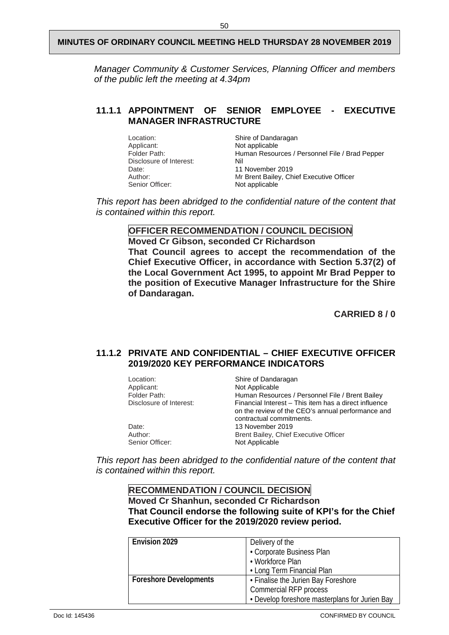*Manager Community & Customer Services, Planning Officer and members of the public left the meeting at 4.34pm*

## <span id="page-52-0"></span>**11.1.1 APPOINTMENT OF SENIOR EMPLOYEE - EXECUTIVE MANAGER INFRASTRUCTURE**

Location: Shire of Dandaragan<br>Applicant: Not applicable Applicant: Not applicable<br>
Folder Path: Human Resou Human Resources / Personnel File / Brad Pepper<br>Nil Disclosure of Interest:<br>Date: Date: 11 November 2019<br>Author: 11 November 2019<br>Mr Brent Bailey. Ch Author: Mr Brent Bailey, Chief Executive Officer<br>
Senior Officer: Not applicable Not applicable

*This report has been abridged to the confidential nature of the content that is contained within this report.*

## **OFFICER RECOMMENDATION / COUNCIL DECISION**

**Moved Cr Gibson, seconded Cr Richardson That Council agrees to accept the recommendation of the Chief Executive Officer, in accordance with Section 5.37(2) of the Local Government Act 1995, to appoint Mr Brad Pepper to the position of Executive Manager Infrastructure for the Shire of Dandaragan.**

**CARRIED 8 / 0**

## <span id="page-52-1"></span>**11.1.2 PRIVATE AND CONFIDENTIAL – CHIEF EXECUTIVE OFFICER 2019/2020 KEY PERFORMANCE INDICATORS**

| Location:               | Shire of Dandaragan                                                                                                                    |
|-------------------------|----------------------------------------------------------------------------------------------------------------------------------------|
| Applicant:              | Not Applicable                                                                                                                         |
| Folder Path:            | Human Resources / Personnel File / Brent Bailey                                                                                        |
| Disclosure of Interest: | Financial Interest – This item has a direct influence<br>on the review of the CEO's annual performance and<br>contractual commitments. |
| Date:                   | 13 November 2019                                                                                                                       |
| Author:                 | Brent Bailey, Chief Executive Officer                                                                                                  |
| Senior Officer:         | Not Applicable                                                                                                                         |

*This report has been abridged to the confidential nature of the content that is contained within this report.*

## **RECOMMENDATION / COUNCIL DECISION Moved Cr Shanhun, seconded Cr Richardson That Council endorse the following suite of KPI's for the Chief Executive Officer for the 2019/2020 review period.**

| <b>Envision 2029</b>          | Delivery of the                                |
|-------------------------------|------------------------------------------------|
|                               | • Corporate Business Plan                      |
|                               | • Workforce Plan                               |
|                               | • Long Term Financial Plan                     |
| <b>Foreshore Developments</b> | • Finalise the Jurien Bay Foreshore            |
|                               | Commercial RFP process                         |
|                               | • Develop foreshore masterplans for Jurien Bay |

Doc Id: 145436 CONFIRMED BY COUNCIL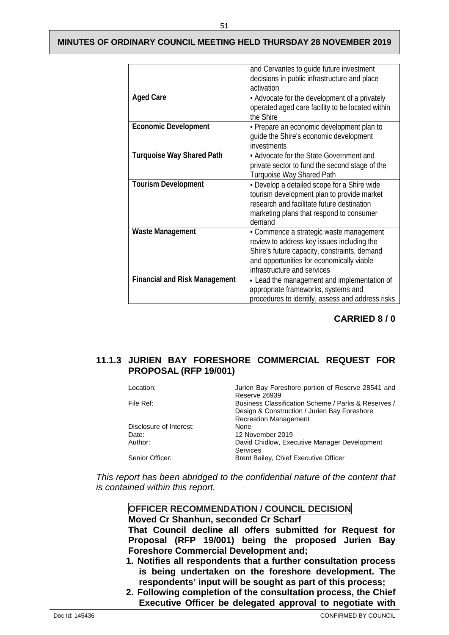|                                      | and Cervantes to guide future investment<br>decisions in public infrastructure and place<br>activation                                                                                                            |
|--------------------------------------|-------------------------------------------------------------------------------------------------------------------------------------------------------------------------------------------------------------------|
| <b>Aged Care</b>                     | • Advocate for the development of a privately<br>operated aged care facility to be located within<br>the Shire                                                                                                    |
| <b>Economic Development</b>          | • Prepare an economic development plan to<br>quide the Shire's economic development<br>investments                                                                                                                |
| <b>Turquoise Way Shared Path</b>     | • Advocate for the State Government and<br>private sector to fund the second stage of the<br>Turquoise Way Shared Path                                                                                            |
| <b>Tourism Development</b>           | • Develop a detailed scope for a Shire wide<br>tourism development plan to provide market<br>research and facilitate future destination<br>marketing plans that respond to consumer<br>demand                     |
| Waste Management                     | • Commence a strategic waste management<br>review to address key issues including the<br>Shire's future capacity, constraints, demand<br>and opportunities for economically viable<br>infrastructure and services |
| <b>Financial and Risk Management</b> | - Lead the management and implementation of<br>appropriate frameworks, systems and<br>procedures to identify, assess and address risks                                                                            |

## **CARRIED 8 / 0**

## <span id="page-53-0"></span>**11.1.3 JURIEN BAY FORESHORE COMMERCIAL REQUEST FOR PROPOSAL (RFP 19/001)**

| Location:               | Jurien Bay Foreshore portion of Reserve 28541 and   |
|-------------------------|-----------------------------------------------------|
|                         | Reserve 26939                                       |
| File Ref:               | Business Classification Scheme / Parks & Reserves / |
|                         | Design & Construction / Jurien Bay Foreshore        |
|                         | <b>Recreation Management</b>                        |
| Disclosure of Interest: | None                                                |
| Date:                   | 12 November 2019                                    |
| Author:                 | David Chidlow, Executive Manager Development        |
|                         | <b>Services</b>                                     |
| Senior Officer:         | Brent Bailey, Chief Executive Officer               |
|                         |                                                     |

*This report has been abridged to the confidential nature of the content that is contained within this report.*

## **OFFICER RECOMMENDATION / COUNCIL DECISION Moved Cr Shanhun, seconded Cr Scharf That Council decline all offers submitted for Request for Proposal (RFP 19/001) being the proposed Jurien Bay Foreshore Commercial Development and; 1. Notifies all respondents that a further consultation process**

- **is being undertaken on the foreshore development. The respondents' input will be sought as part of this process;**
- **2. Following completion of the consultation process, the Chief Executive Officer be delegated approval to negotiate with**